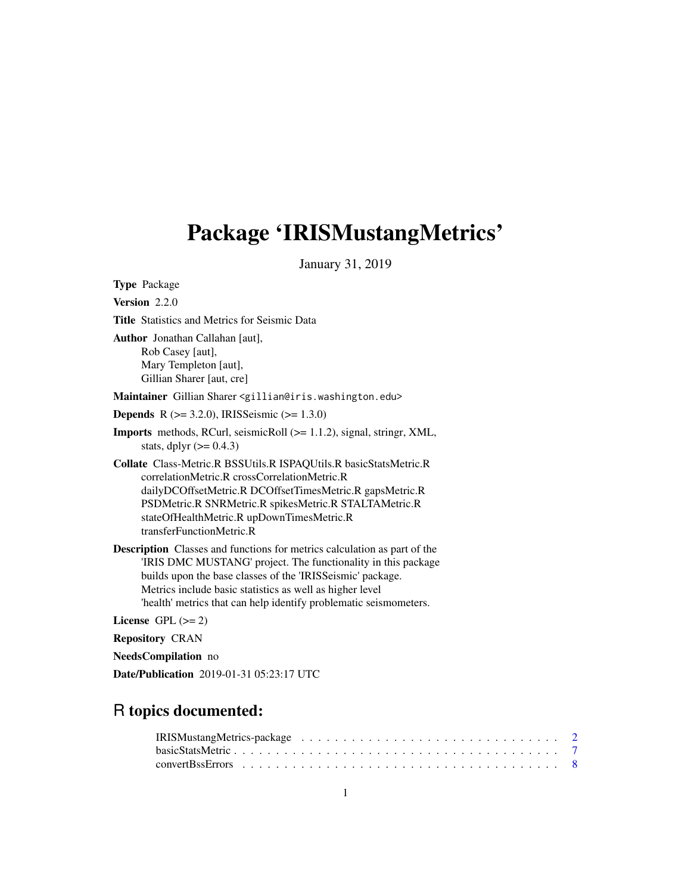## <span id="page-0-0"></span>Package 'IRISMustangMetrics'

January 31, 2019

Type Package Version 2.2.0 Title Statistics and Metrics for Seismic Data Author Jonathan Callahan [aut], Rob Casey [aut], Mary Templeton [aut], Gillian Sharer [aut, cre] Maintainer Gillian Sharer <gillian@iris.washington.edu> **Depends** R ( $>= 3.2.0$ ), IRISSeismic ( $>= 1.3.0$ ) Imports methods, RCurl, seismicRoll (>= 1.1.2), signal, stringr, XML, stats, dplyr  $(>= 0.4.3)$ Collate Class-Metric.R BSSUtils.R ISPAQUtils.R basicStatsMetric.R correlationMetric.R crossCorrelationMetric.R dailyDCOffsetMetric.R DCOffsetTimesMetric.R gapsMetric.R PSDMetric.R SNRMetric.R spikesMetric.R STALTAMetric.R stateOfHealthMetric.R upDownTimesMetric.R transferFunctionMetric.R Description Classes and functions for metrics calculation as part of the 'IRIS DMC MUSTANG' project. The functionality in this package builds upon the base classes of the 'IRISSeismic' package. Metrics include basic statistics as well as higher level 'health' metrics that can help identify problematic seismometers. License GPL  $(>= 2)$ Repository CRAN NeedsCompilation no Date/Publication 2019-01-31 05:23:17 UTC

## R topics documented: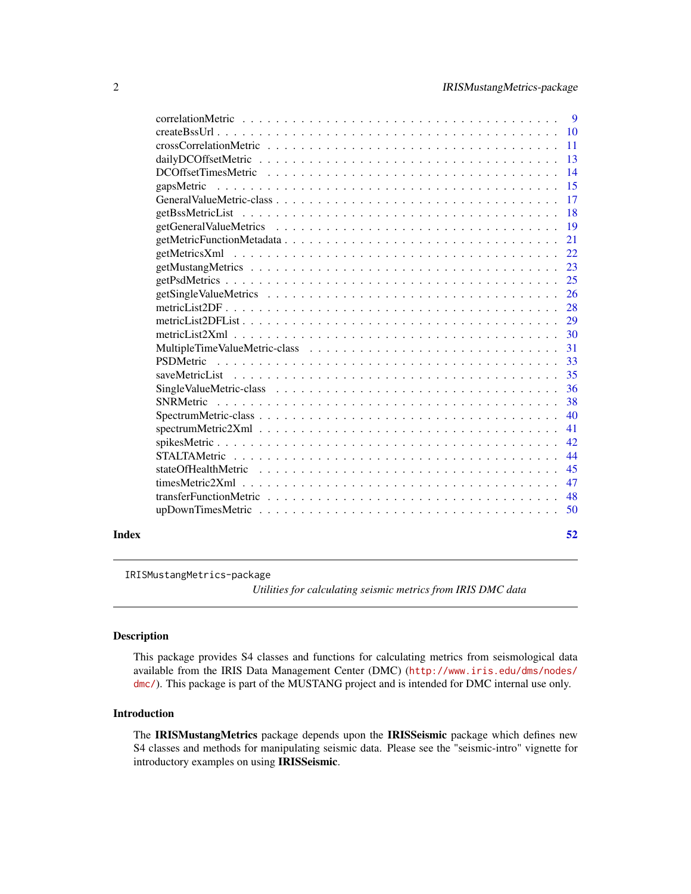<span id="page-1-0"></span>

| Index |                     | 52        |
|-------|---------------------|-----------|
|       |                     | 50        |
|       |                     | 48        |
|       |                     | 47        |
|       |                     | 45        |
|       |                     | 44        |
|       |                     | 42        |
|       |                     | 41        |
|       |                     | 40        |
|       | <b>SNRMetric</b>    | 38        |
|       |                     | 36        |
|       |                     | 35        |
|       |                     | 33        |
|       |                     | 31        |
|       |                     | 30        |
|       |                     | 29        |
|       |                     | 28        |
|       |                     | 26        |
|       |                     | 25        |
|       |                     | 23        |
|       |                     | 22        |
|       |                     | 21        |
|       |                     | 19        |
|       |                     | <b>18</b> |
|       |                     | 17        |
|       | gapsMetric          | 15        |
|       | DCOffsetTimesMetric | 14        |
|       |                     |           |
|       |                     | -11       |
|       |                     |           |
|       |                     |           |

IRISMustangMetrics-package

*Utilities for calculating seismic metrics from IRIS DMC data*

## Description

This package provides S4 classes and functions for calculating metrics from seismological data available from the IRIS Data Management Center (DMC) ([http://www.iris.edu/dms/nodes/](http://www.iris.edu/dms/nodes/dmc/) [dmc/](http://www.iris.edu/dms/nodes/dmc/)). This package is part of the MUSTANG project and is intended for DMC internal use only.

#### Introduction

The IRISMustangMetrics package depends upon the IRISSeismic package which defines new S4 classes and methods for manipulating seismic data. Please see the "seismic-intro" vignette for introductory examples on using IRISSeismic.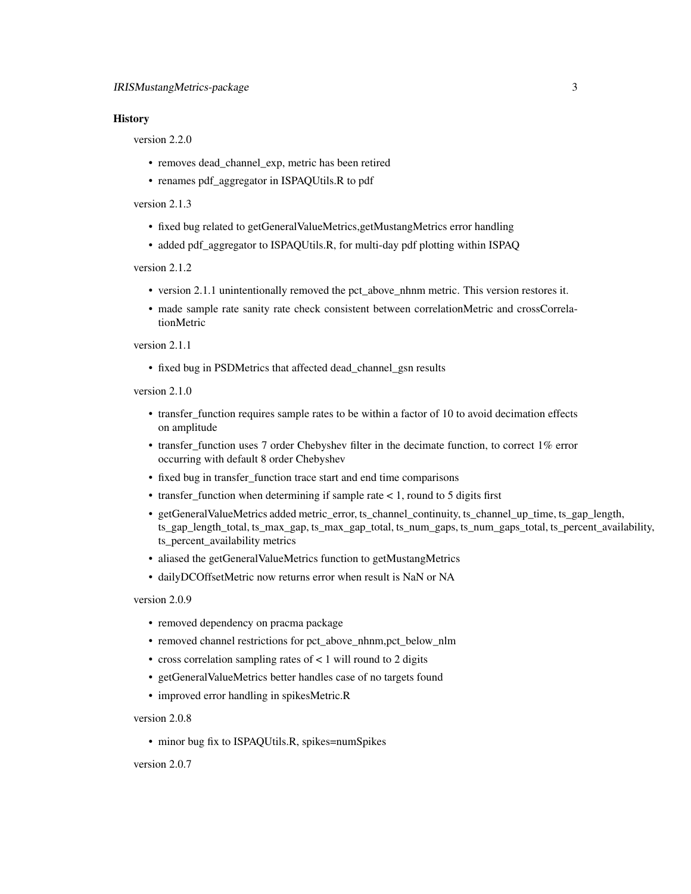#### **History**

version 2.2.0

- removes dead\_channel\_exp, metric has been retired
- renames pdf\_aggregator in ISPAQUtils.R to pdf

## version 2.1.3

- fixed bug related to getGeneralValueMetrics,getMustangMetrics error handling
- added pdf\_aggregator to ISPAQUtils.R, for multi-day pdf plotting within ISPAQ

version 2.1.2

- version 2.1.1 unintentionally removed the pct\_above\_nhnm metric. This version restores it.
- made sample rate sanity rate check consistent between correlationMetric and crossCorrelationMetric

version 2.1.1

• fixed bug in PSDMetrics that affected dead\_channel\_gsn results

version 2.1.0

- transfer\_function requires sample rates to be within a factor of 10 to avoid decimation effects on amplitude
- transfer\_function uses 7 order Chebyshev filter in the decimate function, to correct 1% error occurring with default 8 order Chebyshev
- fixed bug in transfer\_function trace start and end time comparisons
- transfer\_function when determining if sample rate < 1, round to 5 digits first
- getGeneralValueMetrics added metric\_error, ts\_channel\_continuity, ts\_channel\_up\_time, ts\_gap\_length, ts\_gap\_length\_total, ts\_max\_gap, ts\_max\_gap\_total, ts\_num\_gaps, ts\_num\_gaps\_total, ts\_percent\_availability, ts\_percent\_availability metrics
- aliased the getGeneralValueMetrics function to getMustangMetrics
- dailyDCOffsetMetric now returns error when result is NaN or NA

version 2.0.9

- removed dependency on pracma package
- removed channel restrictions for pct\_above\_nhnm,pct\_below\_nlm
- cross correlation sampling rates of < 1 will round to 2 digits
- getGeneralValueMetrics better handles case of no targets found
- improved error handling in spikesMetric.R

version 2.0.8

• minor bug fix to ISPAQUtils.R, spikes=numSpikes

version 2.0.7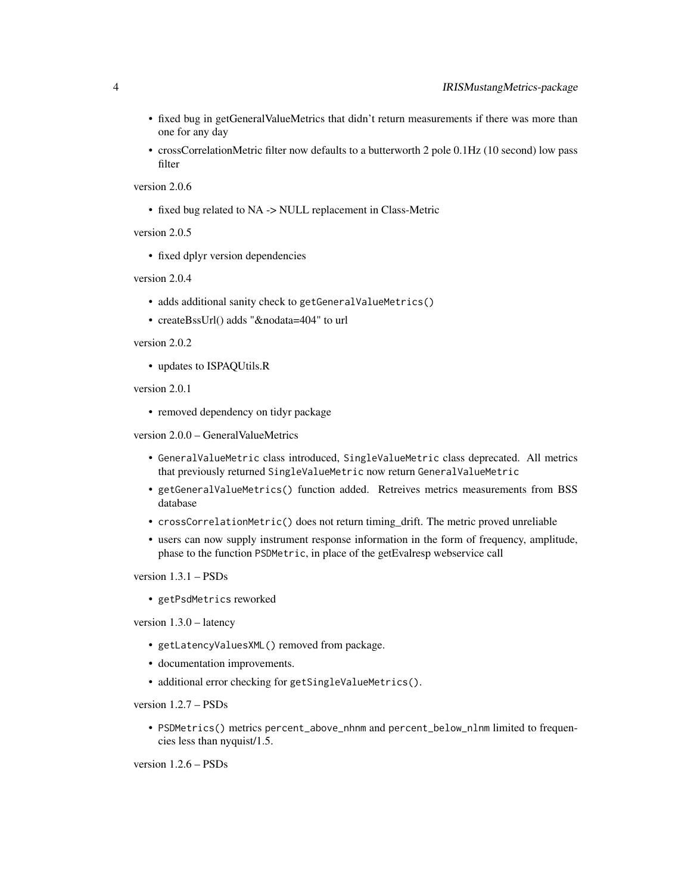- fixed bug in getGeneralValueMetrics that didn't return measurements if there was more than one for any day
- crossCorrelationMetric filter now defaults to a butterworth 2 pole 0.1Hz (10 second) low pass filter

version 2.0.6

• fixed bug related to NA -> NULL replacement in Class-Metric

version 2.0.5

• fixed dplyr version dependencies

version 2.0.4

- adds additional sanity check to getGeneralValueMetrics()
- createBssUrl() adds "&nodata=404" to url

## version 2.0.2

• updates to ISPAQUtils.R

version 2.0.1

• removed dependency on tidyr package

version 2.0.0 – GeneralValueMetrics

- GeneralValueMetric class introduced, SingleValueMetric class deprecated. All metrics that previously returned SingleValueMetric now return GeneralValueMetric
- getGeneralValueMetrics() function added. Retreives metrics measurements from BSS database
- crossCorrelationMetric() does not return timing\_drift. The metric proved unreliable
- users can now supply instrument response information in the form of frequency, amplitude, phase to the function PSDMetric, in place of the getEvalresp webservice call

version 1.3.1 – PSDs

• getPsdMetrics reworked

version 1.3.0 – latency

- getLatencyValuesXML() removed from package.
- documentation improvements.
- additional error checking for getSingleValueMetrics().

version 1.2.7 – PSDs

• PSDMetrics() metrics percent\_above\_nhnm and percent\_below\_nlnm limited to frequencies less than nyquist/1.5.

version 1.2.6 – PSDs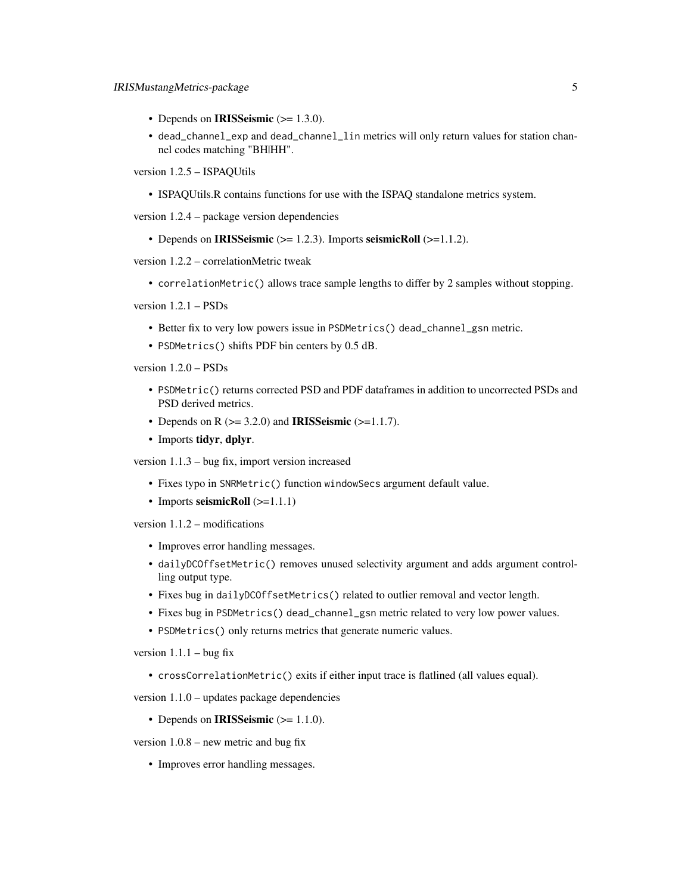- Depends on **IRISSeismic**  $(>= 1.3.0)$ .
- dead\_channel\_exp and dead\_channel\_lin metrics will only return values for station channel codes matching "BH|HH".

version 1.2.5 – ISPAQUtils

• ISPAQUtils.R contains functions for use with the ISPAQ standalone metrics system.

version 1.2.4 – package version dependencies

• Depends on IRISSeismic  $(>= 1.2.3)$ . Imports seismicRoll  $(>= 1.1.2)$ .

version 1.2.2 – correlationMetric tweak

• correlationMetric() allows trace sample lengths to differ by 2 samples without stopping.

version 1.2.1 – PSDs

- Better fix to very low powers issue in PSDMetrics() dead\_channel\_gsn metric.
- PSDMetrics() shifts PDF bin centers by 0.5 dB.

version 1.2.0 – PSDs

- PSDMetric() returns corrected PSD and PDF dataframes in addition to uncorrected PSDs and PSD derived metrics.
- Depends on R  $(>= 3.2.0)$  and **IRISSeismic**  $(>= 1.1.7)$ .
- Imports tidyr, dplyr.

version 1.1.3 – bug fix, import version increased

- Fixes typo in SNRMetric() function windowSecs argument default value.
- Imports seismicRoll (>=1.1.1)

version 1.1.2 – modifications

- Improves error handling messages.
- dailyDCOffsetMetric() removes unused selectivity argument and adds argument controlling output type.
- Fixes bug in dailyDCOffsetMetrics() related to outlier removal and vector length.
- Fixes bug in PSDMetrics() dead\_channel\_gsn metric related to very low power values.
- PSDMetrics() only returns metrics that generate numeric values.

version  $1.1.1 - b$ ug fix

• crossCorrelationMetric() exits if either input trace is flatlined (all values equal).

version 1.1.0 – updates package dependencies

• Depends on **IRISSeismic**  $(>= 1.1.0)$ .

version 1.0.8 – new metric and bug fix

• Improves error handling messages.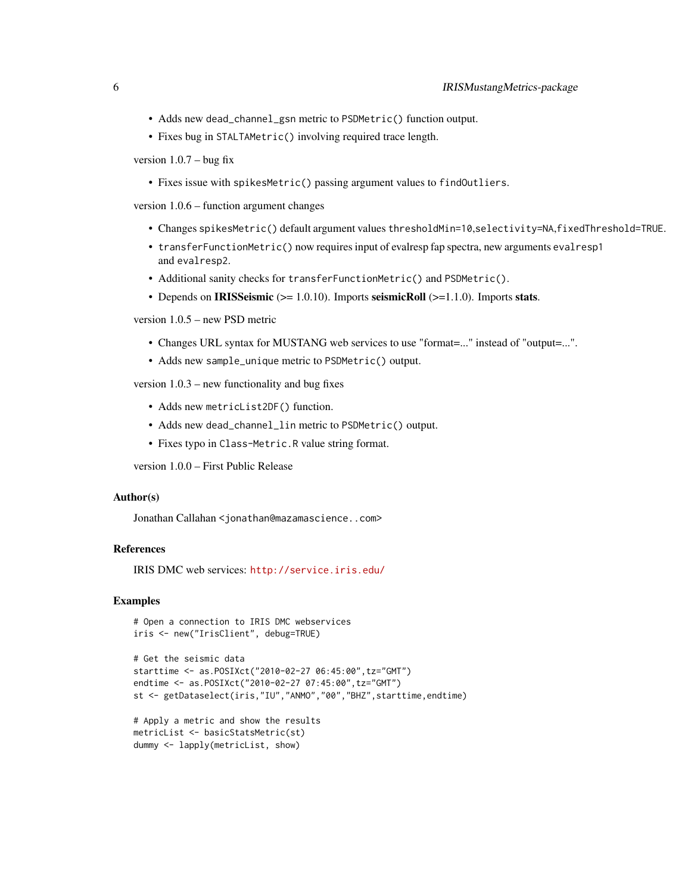- Adds new dead\_channel\_gsn metric to PSDMetric() function output.
- Fixes bug in STALTAMetric() involving required trace length.

version  $1.0.7 - b$ ug fix

• Fixes issue with spikesMetric() passing argument values to findOutliers.

version 1.0.6 – function argument changes

- Changes spikesMetric() default argument values thresholdMin=10,selectivity=NA,fixedThreshold=TRUE.
- transferFunctionMetric() now requires input of evalresp fap spectra, new arguments evalresp1 and evalresp2.
- Additional sanity checks for transferFunctionMetric() and PSDMetric().
- Depends on IRISSeismic ( $>= 1.0.10$ ). Imports seismicRoll ( $>= 1.1.0$ ). Imports stats.

version 1.0.5 – new PSD metric

- Changes URL syntax for MUSTANG web services to use "format=..." instead of "output=...".
- Adds new sample\_unique metric to PSDMetric() output.

version 1.0.3 – new functionality and bug fixes

- Adds new metricList2DF() function.
- Adds new dead\_channel\_lin metric to PSDMetric() output.
- Fixes typo in Class-Metric.R value string format.

version 1.0.0 – First Public Release

#### Author(s)

Jonathan Callahan <jonathan@mazamascience..com>

## References

IRIS DMC web services: <http://service.iris.edu/>

## Examples

```
# Open a connection to IRIS DMC webservices
iris <- new("IrisClient", debug=TRUE)
```

```
# Get the seismic data
starttime <- as.POSIXct("2010-02-27 06:45:00",tz="GMT")
endtime <- as.POSIXct("2010-02-27 07:45:00",tz="GMT")
st <- getDataselect(iris,"IU","ANMO","00","BHZ",starttime,endtime)
```

```
# Apply a metric and show the results
metricList <- basicStatsMetric(st)
dummy <- lapply(metricList, show)
```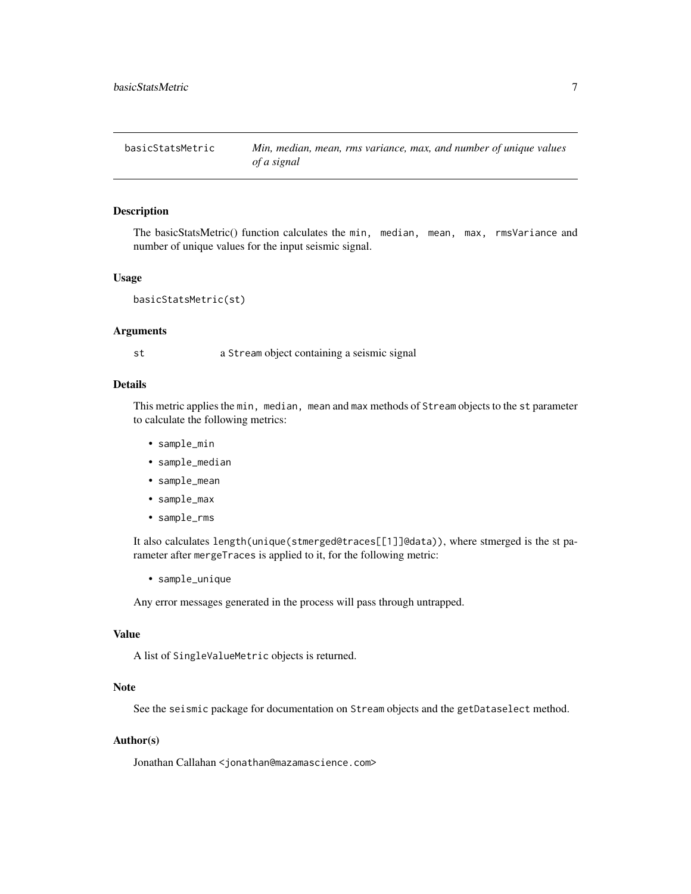<span id="page-6-0"></span>

#### Description

The basicStatsMetric() function calculates the min, median, mean, max, rmsVariance and number of unique values for the input seismic signal.

## Usage

```
basicStatsMetric(st)
```
#### Arguments

st a Stream object containing a seismic signal

## Details

This metric applies the min, median, mean and max methods of Stream objects to the st parameter to calculate the following metrics:

- sample\_min
- sample\_median
- sample\_mean
- sample\_max
- sample\_rms

It also calculates length(unique(stmerged@traces[[1]]@data)), where stmerged is the st parameter after mergeTraces is applied to it, for the following metric:

• sample\_unique

Any error messages generated in the process will pass through untrapped.

#### Value

A list of SingleValueMetric objects is returned.

#### Note

See the seismic package for documentation on Stream objects and the getDataselect method.

#### Author(s)

Jonathan Callahan <jonathan@mazamascience.com>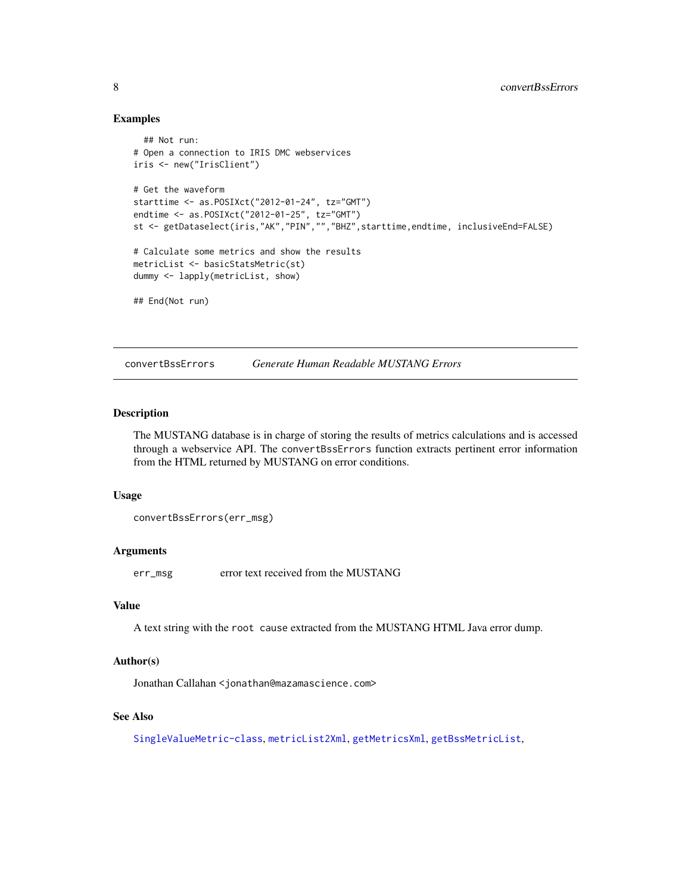#### Examples

```
## Not run:
# Open a connection to IRIS DMC webservices
iris <- new("IrisClient")
# Get the waveform
starttime <- as.POSIXct("2012-01-24", tz="GMT")
endtime <- as.POSIXct("2012-01-25", tz="GMT")
st <- getDataselect(iris,"AK","PIN","","BHZ",starttime,endtime, inclusiveEnd=FALSE)
# Calculate some metrics and show the results
metricList <- basicStatsMetric(st)
dummy <- lapply(metricList, show)
## End(Not run)
```
convertBssErrors *Generate Human Readable MUSTANG Errors*

## Description

The MUSTANG database is in charge of storing the results of metrics calculations and is accessed through a webservice API. The convertBssErrors function extracts pertinent error information from the HTML returned by MUSTANG on error conditions.

#### Usage

convertBssErrors(err\_msg)

#### Arguments

err\_msg error text received from the MUSTANG

## Value

A text string with the root cause extracted from the MUSTANG HTML Java error dump.

#### Author(s)

Jonathan Callahan <jonathan@mazamascience.com>

## See Also

[SingleValueMetric-class](#page-35-1), [metricList2Xml](#page-29-1), [getMetricsXml](#page-21-1), [getBssMetricList](#page-17-1),

<span id="page-7-0"></span>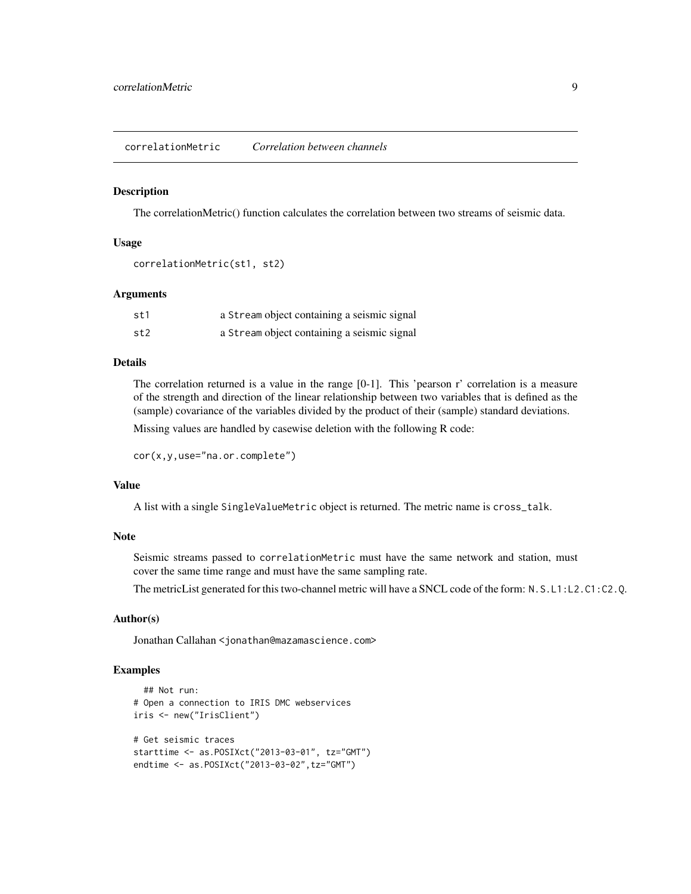## <span id="page-8-0"></span>**Description**

The correlationMetric() function calculates the correlation between two streams of seismic data.

#### Usage

```
correlationMetric(st1, st2)
```
#### Arguments

| st1  | a Stream object containing a seismic signal |
|------|---------------------------------------------|
| st2. | a Stream object containing a seismic signal |

## Details

The correlation returned is a value in the range [0-1]. This 'pearson r' correlation is a measure of the strength and direction of the linear relationship between two variables that is defined as the (sample) covariance of the variables divided by the product of their (sample) standard deviations.

Missing values are handled by casewise deletion with the following R code:

```
cor(x,y,use="na.or.complete")
```
#### Value

A list with a single SingleValueMetric object is returned. The metric name is cross\_talk.

#### Note

Seismic streams passed to correlationMetric must have the same network and station, must cover the same time range and must have the same sampling rate.

The metricList generated for this two-channel metric will have a SNCL code of the form: N.S.L1:L2.C1:C2.Q.

## Author(s)

Jonathan Callahan <jonathan@mazamascience.com>

## Examples

```
## Not run:
# Open a connection to IRIS DMC webservices
iris <- new("IrisClient")
# Get seismic traces
starttime <- as.POSIXct("2013-03-01", tz="GMT")
endtime <- as.POSIXct("2013-03-02",tz="GMT")
```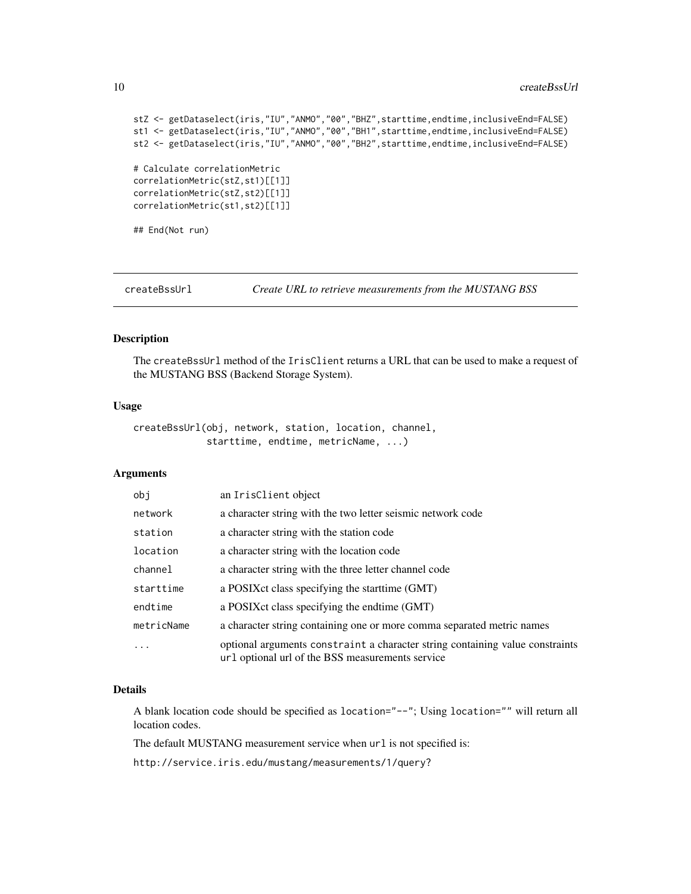#### <span id="page-9-0"></span>10 createBssUrl and the contract of the createBssUrl createBssUrl createBssUrl createBssUrl createBssUrl createBssUrl createBssUrl createBssUrl createBssUrl createBssUrl createBssUrl createBssUrl createBssUrl createBssUrl

```
stZ <- getDataselect(iris,"IU","ANMO","00","BHZ",starttime,endtime,inclusiveEnd=FALSE)
st1 <- getDataselect(iris,"IU","ANMO","00","BH1",starttime,endtime,inclusiveEnd=FALSE)
st2 <- getDataselect(iris,"IU","ANMO","00","BH2",starttime,endtime,inclusiveEnd=FALSE)
# Calculate correlationMetric
correlationMetric(stZ,st1)[[1]]
correlationMetric(stZ,st2)[[1]]
correlationMetric(st1,st2)[[1]]
## End(Not run)
```
<span id="page-9-1"></span>createBssUrl *Create URL to retrieve measurements from the MUSTANG BSS*

#### Description

The createBssUrl method of the IrisClient returns a URL that can be used to make a request of the MUSTANG BSS (Backend Storage System).

#### Usage

createBssUrl(obj, network, station, location, channel, starttime, endtime, metricName, ...)

## Arguments

| obj        | an IrisClient object                                                                                                              |
|------------|-----------------------------------------------------------------------------------------------------------------------------------|
| network    | a character string with the two letter seismic network code                                                                       |
| station    | a character string with the station code                                                                                          |
| location   | a character string with the location code                                                                                         |
| channel    | a character string with the three letter channel code                                                                             |
| starttime  | a POSIX ct class specifying the start time (GMT)                                                                                  |
| endtime    | a POSIX ct class specifying the endtime (GMT)                                                                                     |
| metricName | a character string containing one or more comma separated metric names                                                            |
| .          | optional arguments constraint a character string containing value constraints<br>url optional url of the BSS measurements service |

## Details

A blank location code should be specified as location="--"; Using location="" will return all location codes.

The default MUSTANG measurement service when url is not specified is:

http://service.iris.edu/mustang/measurements/1/query?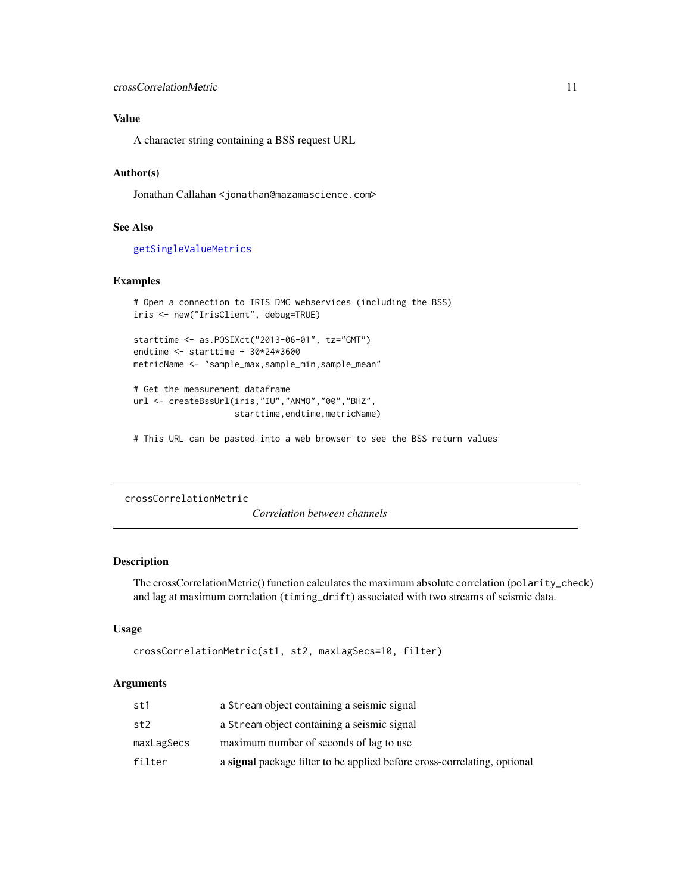## <span id="page-10-0"></span>Value

A character string containing a BSS request URL

## Author(s)

Jonathan Callahan <jonathan@mazamascience.com>

#### See Also

[getSingleValueMetrics](#page-25-1)

## Examples

```
# Open a connection to IRIS DMC webservices (including the BSS)
iris <- new("IrisClient", debug=TRUE)
starttime <- as.POSIXct("2013-06-01", tz="GMT")
```
endtime <- starttime + 30\*24\*3600 metricName <- "sample\_max,sample\_min,sample\_mean"

```
# Get the measurement dataframe
url <- createBssUrl(iris,"IU","ANMO","00","BHZ",
                    starttime, endtime, metricName)
```
# This URL can be pasted into a web browser to see the BSS return values

```
crossCorrelationMetric
```
*Correlation between channels*

## Description

The crossCorrelationMetric() function calculates the maximum absolute correlation (polarity\_check) and lag at maximum correlation (timing\_drift) associated with two streams of seismic data.

## Usage

```
crossCorrelationMetric(st1, st2, maxLagSecs=10, filter)
```
## Arguments

| st1        | a Stream object containing a seismic signal                                     |
|------------|---------------------------------------------------------------------------------|
| st2        | a Stream object containing a seismic signal                                     |
| maxLagSecs | maximum number of seconds of lag to use                                         |
| filter     | a <b>signal</b> package filter to be applied before cross-correlating, optional |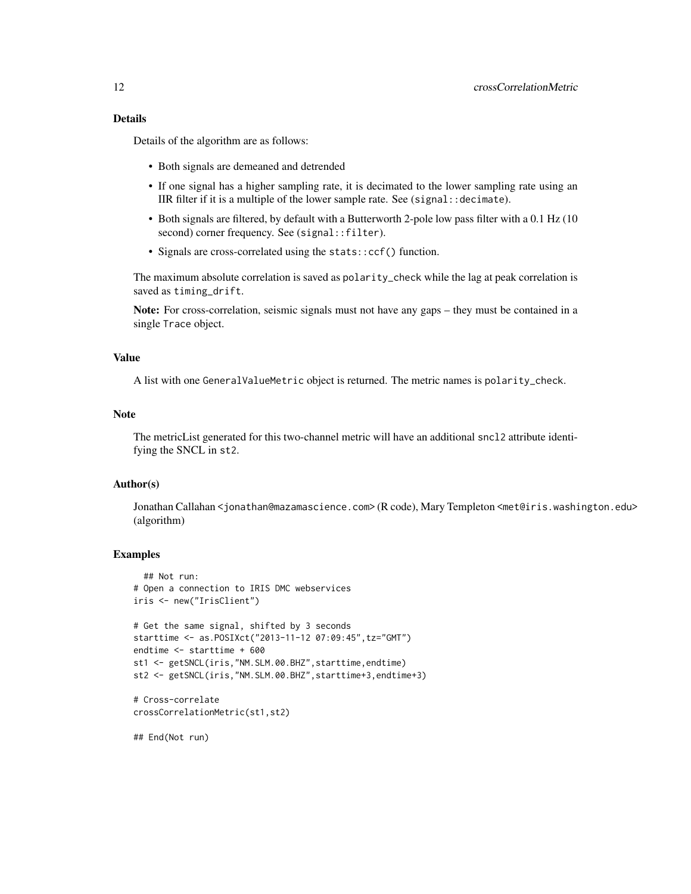## Details

Details of the algorithm are as follows:

- Both signals are demeaned and detrended
- If one signal has a higher sampling rate, it is decimated to the lower sampling rate using an IIR filter if it is a multiple of the lower sample rate. See (signal::decimate).
- Both signals are filtered, by default with a Butterworth 2-pole low pass filter with a 0.1 Hz (10 second) corner frequency. See (signal::filter).
- Signals are cross-correlated using the stats::ccf() function.

The maximum absolute correlation is saved as polarity\_check while the lag at peak correlation is saved as timing\_drift.

Note: For cross-correlation, seismic signals must not have any gaps – they must be contained in a single Trace object.

#### Value

A list with one GeneralValueMetric object is returned. The metric names is polarity\_check.

#### Note

The metricList generated for this two-channel metric will have an additional sncl2 attribute identifying the SNCL in st2.

#### Author(s)

Jonathan Callahan <jonathan@mazamascience.com> (R code), Mary Templeton <met@iris.washington.edu> (algorithm)

#### Examples

```
## Not run:
# Open a connection to IRIS DMC webservices
iris <- new("IrisClient")
# Get the same signal, shifted by 3 seconds
starttime <- as.POSIXct("2013-11-12 07:09:45",tz="GMT")
endtime <- starttime + 600
st1 <- getSNCL(iris,"NM.SLM.00.BHZ",starttime,endtime)
st2 <- getSNCL(iris,"NM.SLM.00.BHZ",starttime+3,endtime+3)
# Cross-correlate
crossCorrelationMetric(st1,st2)
```
## End(Not run)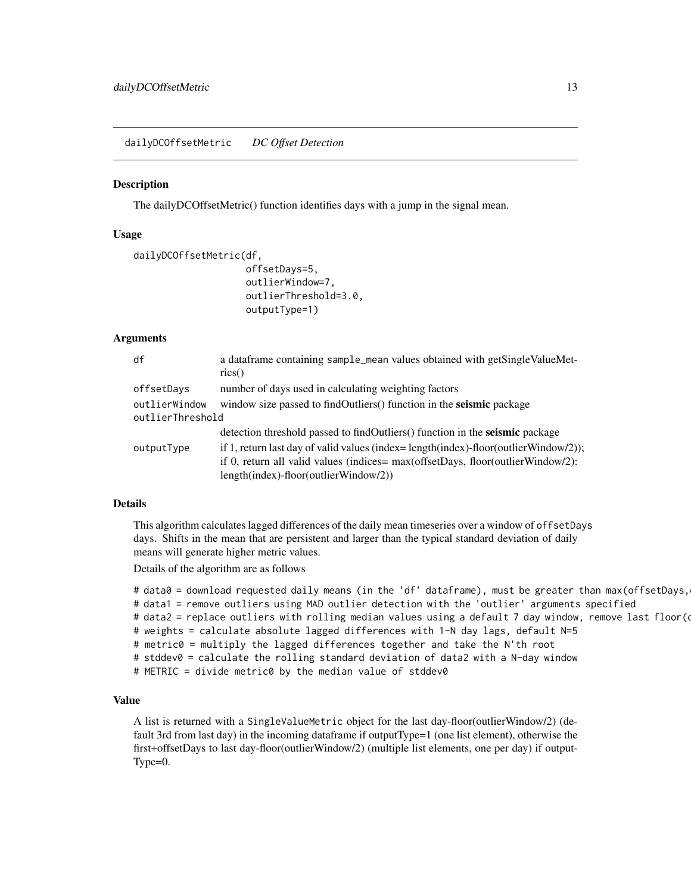<span id="page-12-0"></span>dailyDCOffsetMetric *DC Offset Detection*

#### Description

The dailyDCOffsetMetric() function identifies days with a jump in the signal mean.

### Usage

```
dailyDCOffsetMetric(df,
                    offsetDays=5,
                    outlierWindow=7,
                    outlierThreshold=3.0,
                    outputType=1)
```
#### Arguments

| df               | a data frame containing sample_mean values obtained with getSingleValueMet-             |
|------------------|-----------------------------------------------------------------------------------------|
|                  | $\text{rics}()$                                                                         |
| offsetDays       | number of days used in calculating weighting factors                                    |
| outlierWindow    | window size passed to findOutliers() function in the seismic package                    |
| outlierThreshold |                                                                                         |
|                  | detection threshold passed to find Outliers () function in the <b>seismic</b> package   |
| outputType       | if 1, return last day of valid values (index= $length(intex)$ -floor(outlierWindow/2)); |
|                  | if 0, return all valid values (indices= max(offsetDays, floor(outlierWindow/2):         |
|                  | $length/index)$ -floor(outlierWindow/2))                                                |

## Details

This algorithm calculates lagged differences of the daily mean timeseries over a window of offsetDays days. Shifts in the mean that are persistent and larger than the typical standard deviation of daily means will generate higher metric values.

Details of the algorithm are as follows

```
# data0 = download requested daily means (in the 'df' dataframe), must be greater than max(offsetDays,
# data1 = remove outliers using MAD outlier detection with the 'outlier' arguments specified
# data2 = replace outliers with rolling median values using a default 7 day window, remove last floor(\epsilon# weights = calculate absolute lagged differences with 1-N day lags, default N=5
# metric0 = multiply the lagged differences together and take the N'th root
# stddev0 = calculate the rolling standard deviation of data2 with a N-day window
# METRIC = divide metric0 by the median value of stddev0
```
## Value

A list is returned with a SingleValueMetric object for the last day-floor(outlierWindow/2) (default 3rd from last day) in the incoming dataframe if outputType=1 (one list element), otherwise the first+offsetDays to last day-floor(outlierWindow/2) (multiple list elements, one per day) if output-Type=0.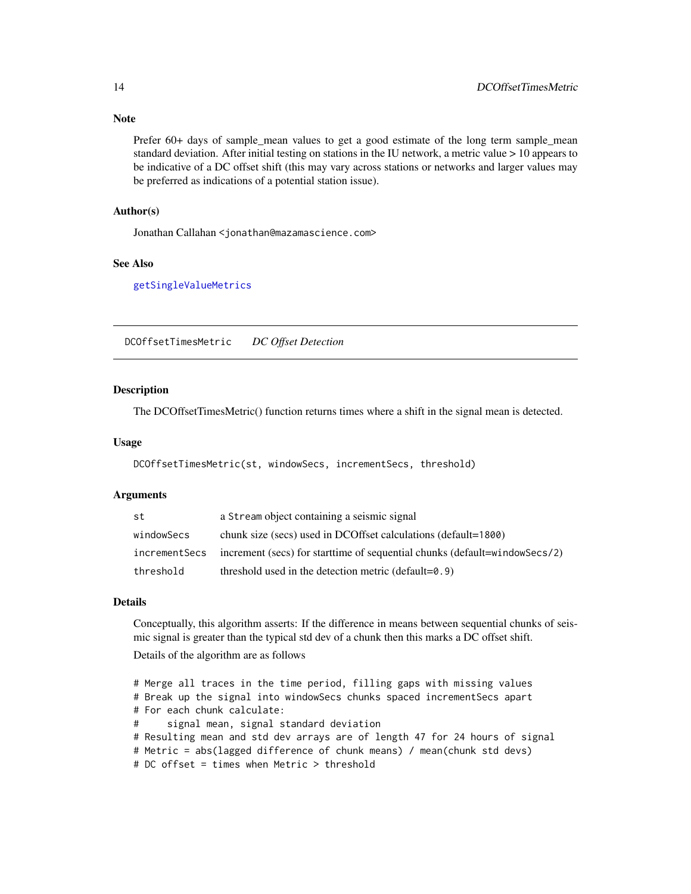## Note

Prefer 60+ days of sample\_mean values to get a good estimate of the long term sample\_mean standard deviation. After initial testing on stations in the IU network, a metric value > 10 appears to be indicative of a DC offset shift (this may vary across stations or networks and larger values may be preferred as indications of a potential station issue).

## Author(s)

Jonathan Callahan <jonathan@mazamascience.com>

#### See Also

[getSingleValueMetrics](#page-25-1)

DCOffsetTimesMetric *DC Offset Detection*

## **Description**

The DCOffsetTimesMetric() function returns times where a shift in the signal mean is detected.

#### Usage

DCOffsetTimesMetric(st, windowSecs, incrementSecs, threshold)

#### Arguments

| st            | a Stream object containing a seismic signal                                |
|---------------|----------------------------------------------------------------------------|
| windowSecs    | chunk size (secs) used in DCOffset calculations (default=1800)             |
| incrementSecs | increment (secs) for startlime of sequential chunks (default=windowSecs/2) |
| threshold     | threshold used in the detection metric (default= $0.9$ )                   |

## Details

Conceptually, this algorithm asserts: If the difference in means between sequential chunks of seismic signal is greater than the typical std dev of a chunk then this marks a DC offset shift.

Details of the algorithm are as follows

```
# Merge all traces in the time period, filling gaps with missing values
# Break up the signal into windowSecs chunks spaced incrementSecs apart
# For each chunk calculate:
# signal mean, signal standard deviation
# Resulting mean and std dev arrays are of length 47 for 24 hours of signal
# Metric = abs(lagged difference of chunk means) / mean(chunk std devs)
# DC offset = times when Metric > threshold
```
<span id="page-13-0"></span>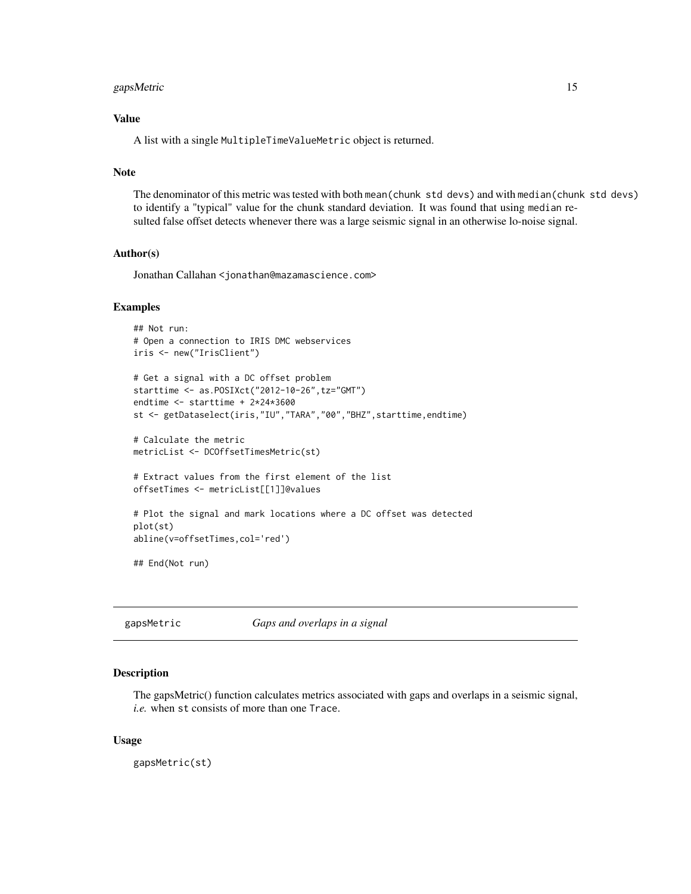## <span id="page-14-0"></span>gapsMetric 15

## Value

A list with a single MultipleTimeValueMetric object is returned.

#### Note

The denominator of this metric was tested with both mean(chunk std devs) and with median(chunk std devs) to identify a "typical" value for the chunk standard deviation. It was found that using median resulted false offset detects whenever there was a large seismic signal in an otherwise lo-noise signal.

## Author(s)

Jonathan Callahan <jonathan@mazamascience.com>

#### Examples

```
## Not run:
# Open a connection to IRIS DMC webservices
iris <- new("IrisClient")
# Get a signal with a DC offset problem
starttime <- as.POSIXct("2012-10-26",tz="GMT")
endtime <- starttime + 2*24*3600
st <- getDataselect(iris,"IU","TARA","00","BHZ",starttime,endtime)
# Calculate the metric
metricList <- DCOffsetTimesMetric(st)
# Extract values from the first element of the list
offsetTimes <- metricList[[1]]@values
# Plot the signal and mark locations where a DC offset was detected
plot(st)
abline(v=offsetTimes,col='red')
## End(Not run)
```
gapsMetric *Gaps and overlaps in a signal*

#### Description

The gapsMetric() function calculates metrics associated with gaps and overlaps in a seismic signal, *i.e.* when st consists of more than one Trace.

#### Usage

gapsMetric(st)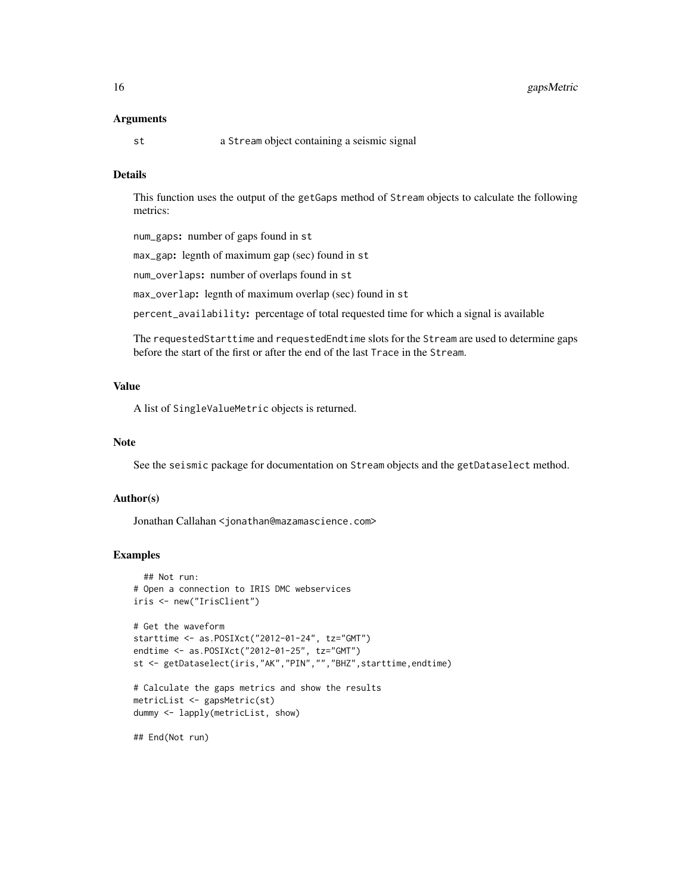#### Arguments

st a Stream object containing a seismic signal

## Details

This function uses the output of the getGaps method of Stream objects to calculate the following metrics:

num\_gaps: number of gaps found in st

max\_gap: legnth of maximum gap (sec) found in st

num\_overlaps: number of overlaps found in st

max\_overlap: legnth of maximum overlap (sec) found in st

percent\_availability: percentage of total requested time for which a signal is available

The requestedStarttime and requestedEndtime slots for the Stream are used to determine gaps before the start of the first or after the end of the last Trace in the Stream.

## Value

A list of SingleValueMetric objects is returned.

#### Note

See the seismic package for documentation on Stream objects and the getDataselect method.

#### Author(s)

Jonathan Callahan <jonathan@mazamascience.com>

#### Examples

```
## Not run:
# Open a connection to IRIS DMC webservices
iris <- new("IrisClient")
# Get the waveform
starttime <- as.POSIXct("2012-01-24", tz="GMT")
endtime <- as.POSIXct("2012-01-25", tz="GMT")
st <- getDataselect(iris,"AK","PIN","","BHZ",starttime,endtime)
# Calculate the gaps metrics and show the results
metricList <- gapsMetric(st)
dummy <- lapply(metricList, show)
```
## End(Not run)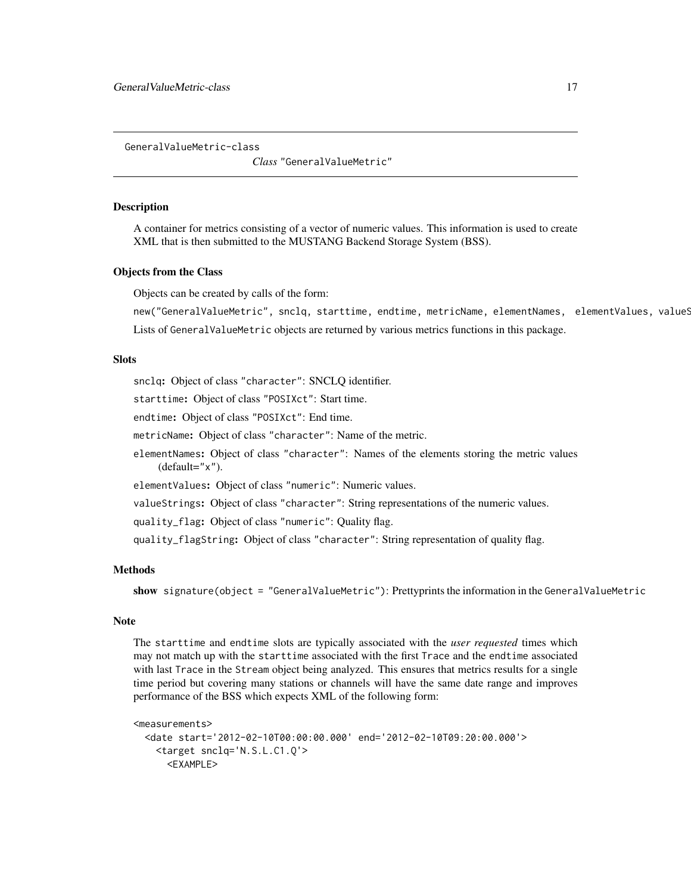<span id="page-16-0"></span>GeneralValueMetric-class

*Class* "GeneralValueMetric"

#### Description

A container for metrics consisting of a vector of numeric values. This information is used to create XML that is then submitted to the MUSTANG Backend Storage System (BSS).

#### Objects from the Class

Objects can be created by calls of the form:

new("GeneralValueMetric", snclq, starttime, endtime, metricName, elementNames, elementValues, valueS Lists of GeneralValueMetric objects are returned by various metrics functions in this package.

## **Slots**

snclq: Object of class "character": SNCLQ identifier.

starttime: Object of class "POSIXct": Start time.

endtime: Object of class "POSIXct": End time.

metricName: Object of class "character": Name of the metric.

elementNames: Object of class "character": Names of the elements storing the metric values (default="x").

elementValues: Object of class "numeric": Numeric values.

valueStrings: Object of class "character": String representations of the numeric values.

quality\_flag: Object of class "numeric": Quality flag.

quality\_flagString: Object of class "character": String representation of quality flag.

### Methods

show signature(object = "GeneralValueMetric"): Prettyprints the information in the GeneralValueMetric

## Note

The starttime and endtime slots are typically associated with the *user requested* times which may not match up with the starttime associated with the first Trace and the endtime associated with last Trace in the Stream object being analyzed. This ensures that metrics results for a single time period but covering many stations or channels will have the same date range and improves performance of the BSS which expects XML of the following form:

```
<measurements>
 <date start='2012-02-10T00:00:00.000' end='2012-02-10T09:20:00.000'>
   <target snclq='N.S.L.C1.Q'>
     <EXAMPLE>
```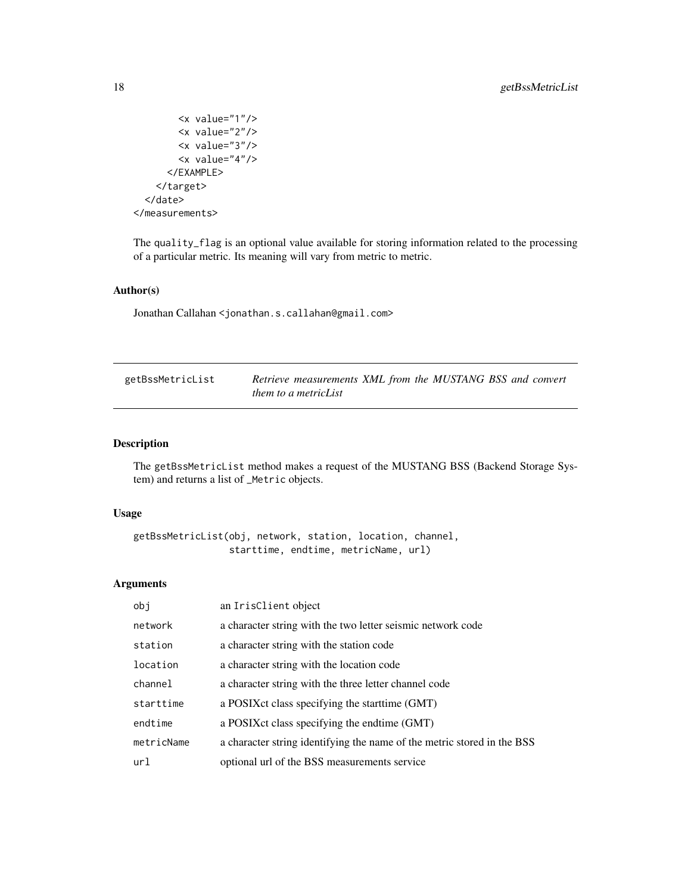```
<x value="1"/>
        <x value="2"/>
        <x value="3"/>
        <x value="4"/>
      </EXAMPLE>
    </target>
  </date>
</measurements>
```
The quality\_flag is an optional value available for storing information related to the processing of a particular metric. Its meaning will vary from metric to metric.

## Author(s)

Jonathan Callahan <jonathan.s.callahan@gmail.com>

<span id="page-17-1"></span>

| getBssMetricList | Retrieve measurements XML from the MUSTANG BSS and convert |
|------------------|------------------------------------------------------------|
|                  | <i>them to a metricList</i>                                |

## Description

The getBssMetricList method makes a request of the MUSTANG BSS (Backend Storage System) and returns a list of \_Metric objects.

#### Usage

```
getBssMetricList(obj, network, station, location, channel,
                 starttime, endtime, metricName, url)
```
## Arguments

| obi        | an IrisClient object                                                    |
|------------|-------------------------------------------------------------------------|
| network    | a character string with the two letter seismic network code             |
| station    | a character string with the station code                                |
| location   | a character string with the location code                               |
| channel    | a character string with the three letter channel code                   |
| starttime  | a POSIX ct class specifying the start time (GMT)                        |
| endtime    | a POSIX ct class specifying the endtime (GMT)                           |
| metricName | a character string identifying the name of the metric stored in the BSS |
| url        | optional url of the BSS measurements service                            |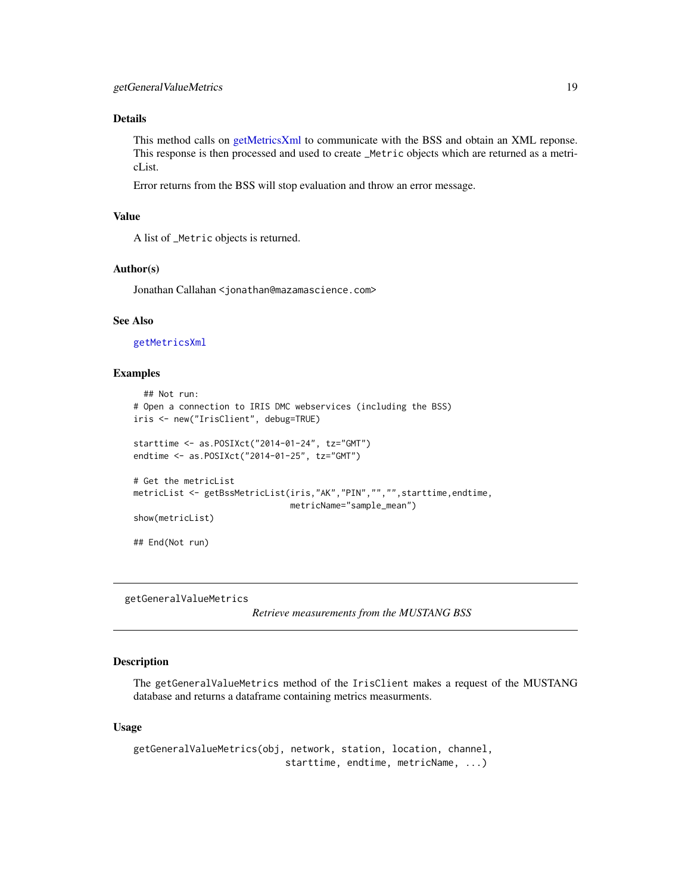## <span id="page-18-0"></span>Details

This method calls on [getMetricsXml](#page-21-1) to communicate with the BSS and obtain an XML reponse. This response is then processed and used to create \_Metric objects which are returned as a metricList.

Error returns from the BSS will stop evaluation and throw an error message.

#### Value

A list of \_Metric objects is returned.

#### Author(s)

Jonathan Callahan <jonathan@mazamascience.com>

#### See Also

[getMetricsXml](#page-21-1)

## Examples

```
## Not run:
# Open a connection to IRIS DMC webservices (including the BSS)
iris <- new("IrisClient", debug=TRUE)
starttime <- as.POSIXct("2014-01-24", tz="GMT")
endtime <- as.POSIXct("2014-01-25", tz="GMT")
# Get the metricList
metricList <- getBssMetricList(iris,"AK","PIN","","",starttime,endtime,
                               metricName="sample_mean")
show(metricList)
## End(Not run)
```
getGeneralValueMetrics

*Retrieve measurements from the MUSTANG BSS*

#### Description

The getGeneralValueMetrics method of the IrisClient makes a request of the MUSTANG database and returns a dataframe containing metrics measurments.

#### Usage

```
getGeneralValueMetrics(obj, network, station, location, channel,
                           starttime, endtime, metricName, ...)
```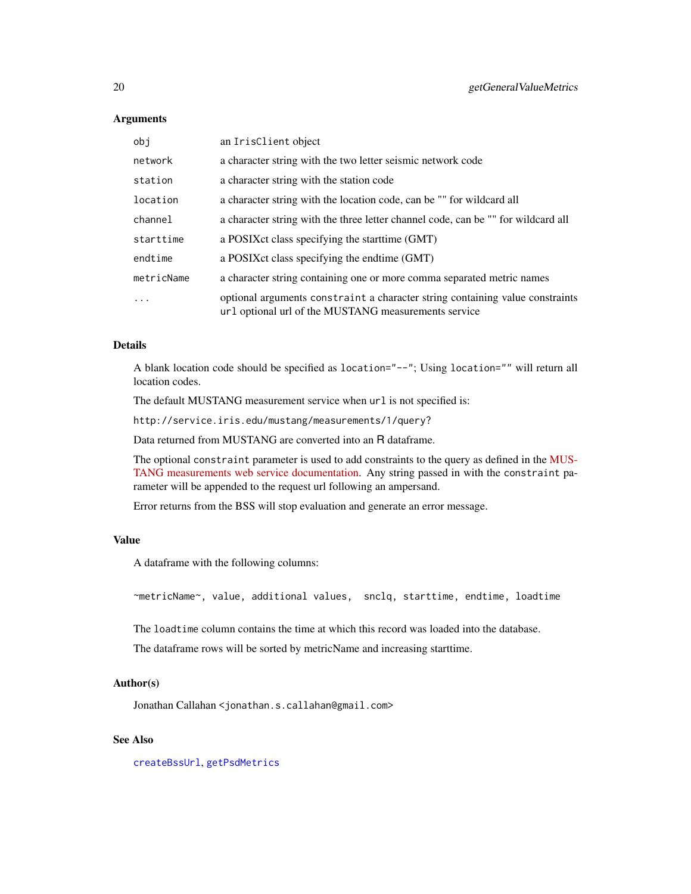## **Arguments**

| obj        | an IrisClient object                                                                                                                  |
|------------|---------------------------------------------------------------------------------------------------------------------------------------|
| network    | a character string with the two letter seismic network code                                                                           |
| station    | a character string with the station code                                                                                              |
| location   | a character string with the location code, can be "" for wildcard all                                                                 |
| channel    | a character string with the three letter channel code, can be "" for wildcard all                                                     |
| starttime  | a POSIX ct class specifying the start time (GMT)                                                                                      |
| endtime    | a POSIX ct class specifying the endtime (GMT)                                                                                         |
| metricName | a character string containing one or more comma separated metric names                                                                |
|            | optional arguments constraint a character string containing value constraints<br>url optional url of the MUSTANG measurements service |

## Details

A blank location code should be specified as location="--"; Using location="" will return all location codes.

The default MUSTANG measurement service when  $url$  is not specified is:

http://service.iris.edu/mustang/measurements/1/query?

Data returned from MUSTANG are converted into an R dataframe.

The optional constraint parameter is used to add constraints to the query as defined in the [MUS-](http://service.iris.edu/mustang/measurements/1)[TANG measurements web service documentation.](http://service.iris.edu/mustang/measurements/1) Any string passed in with the constraint parameter will be appended to the request url following an ampersand.

Error returns from the BSS will stop evaluation and generate an error message.

## Value

A dataframe with the following columns:

~metricName~, value, additional values, snclq, starttime, endtime, loadtime

The loadtime column contains the time at which this record was loaded into the database.

The dataframe rows will be sorted by metricName and increasing starttime.

## Author(s)

Jonathan Callahan <jonathan.s.callahan@gmail.com>

## See Also

[createBssUrl](#page-9-1), [getPsdMetrics](#page-24-1)

<span id="page-19-0"></span>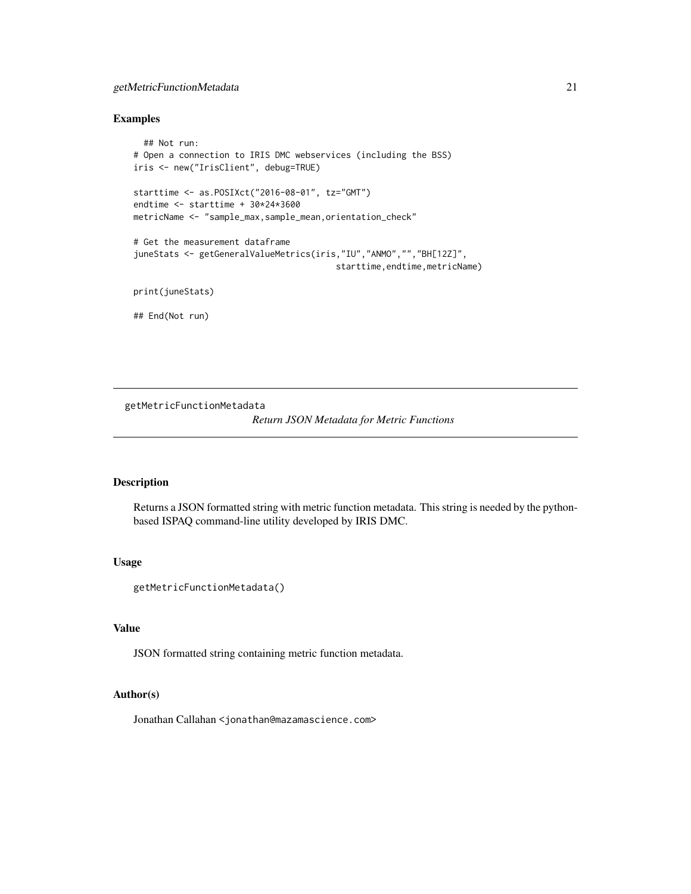## <span id="page-20-0"></span>getMetricFunctionMetadata 21

#### Examples

```
## Not run:
# Open a connection to IRIS DMC webservices (including the BSS)
iris <- new("IrisClient", debug=TRUE)
starttime <- as.POSIXct("2016-08-01", tz="GMT")
endtime <- starttime + 30*24*3600
metricName <- "sample_max,sample_mean,orientation_check"
# Get the measurement dataframe
juneStats <- getGeneralValueMetrics(iris,"IU","ANMO","","BH[12Z]",
                                        starttime, endtime, metricName)
print(juneStats)
```
## End(Not run)

getMetricFunctionMetadata

#### *Return JSON Metadata for Metric Functions*

#### Description

Returns a JSON formatted string with metric function metadata. This string is needed by the pythonbased ISPAQ command-line utility developed by IRIS DMC.

#### Usage

```
getMetricFunctionMetadata()
```
## Value

JSON formatted string containing metric function metadata.

## Author(s)

Jonathan Callahan <jonathan@mazamascience.com>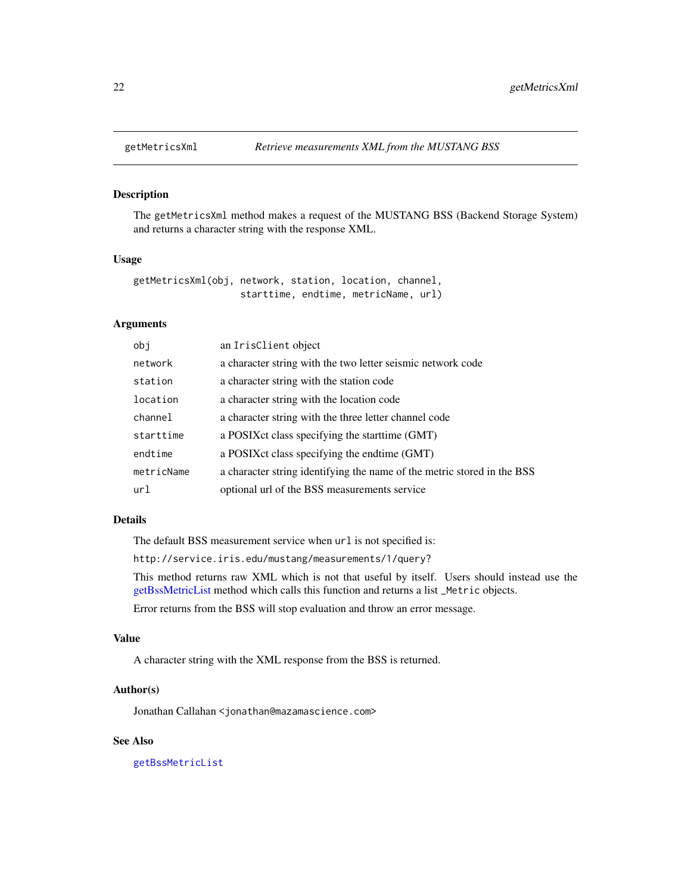<span id="page-21-1"></span><span id="page-21-0"></span>

#### Description

The getMetricsXml method makes a request of the MUSTANG BSS (Backend Storage System) and returns a character string with the response XML.

## Usage

```
getMetricsXml(obj, network, station, location, channel,
                   starttime, endtime, metricName, url)
```
## Arguments

| obj        | an IrisClient object                                                    |
|------------|-------------------------------------------------------------------------|
| network    | a character string with the two letter seismic network code             |
| station    | a character string with the station code                                |
| location   | a character string with the location code                               |
| channel    | a character string with the three letter channel code                   |
| starttime  | a POSIX ct class specifying the start time (GMT)                        |
| endtime    | a POSIX ct class specifying the endtime (GMT)                           |
| metricName | a character string identifying the name of the metric stored in the BSS |
| url        | optional url of the BSS measurements service                            |

#### Details

The default BSS measurement service when  $url$  is not specified is:

http://service.iris.edu/mustang/measurements/1/query?

This method returns raw XML which is not that useful by itself. Users should instead use the [getBssMetricList](#page-17-1) method which calls this function and returns a list \_Metric objects.

Error returns from the BSS will stop evaluation and throw an error message.

#### Value

A character string with the XML response from the BSS is returned.

## Author(s)

Jonathan Callahan <jonathan@mazamascience.com>

## See Also

[getBssMetricList](#page-17-1)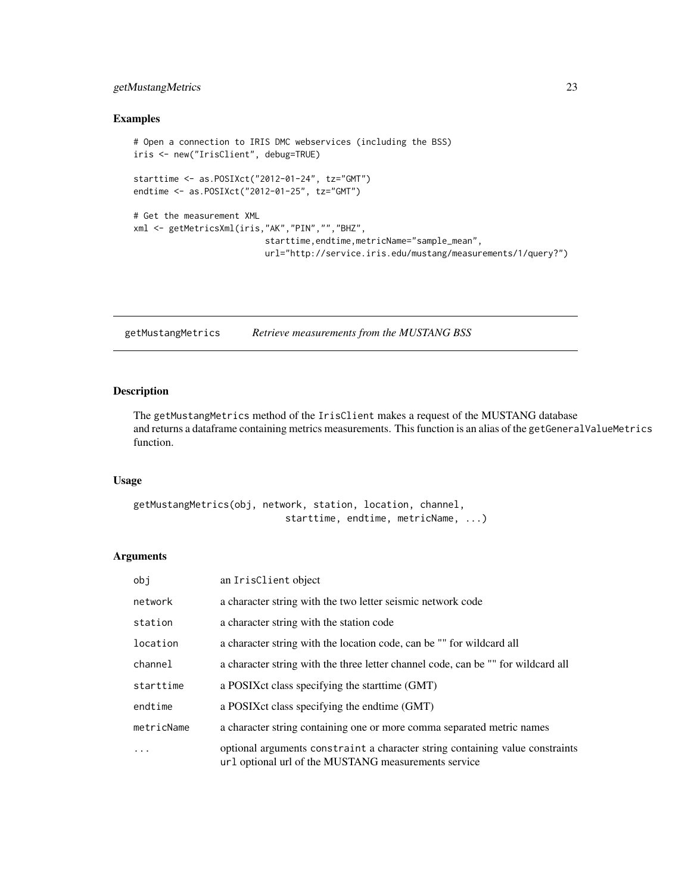## <span id="page-22-0"></span>getMustangMetrics 23

#### Examples

```
# Open a connection to IRIS DMC webservices (including the BSS)
iris <- new("IrisClient", debug=TRUE)
starttime <- as.POSIXct("2012-01-24", tz="GMT")
endtime <- as.POSIXct("2012-01-25", tz="GMT")
# Get the measurement XML
xml <- getMetricsXml(iris,"AK","PIN","","BHZ",
                          starttime,endtime,metricName="sample_mean",
                          url="http://service.iris.edu/mustang/measurements/1/query?")
```
getMustangMetrics *Retrieve measurements from the MUSTANG BSS*

## Description

The getMustangMetrics method of the IrisClient makes a request of the MUSTANG database and returns a dataframe containing metrics measurements. This function is an alias of the getGeneralValueMetrics function.

## Usage

```
getMustangMetrics(obj, network, station, location, channel,
                           starttime, endtime, metricName, ...)
```
### Arguments

| obi        | an IrisClient object                                                                                                                  |
|------------|---------------------------------------------------------------------------------------------------------------------------------------|
| network    | a character string with the two letter seismic network code                                                                           |
| station    | a character string with the station code                                                                                              |
| location   | a character string with the location code, can be "" for wildcard all                                                                 |
| channel    | a character string with the three letter channel code, can be "" for wildcard all                                                     |
| starttime  | a POSIX ct class specifying the start time (GMT)                                                                                      |
| endtime    | a POSIX ct class specifying the endtime (GMT)                                                                                         |
| metricName | a character string containing one or more comma separated metric names                                                                |
| $\ddots$ . | optional arguments constraint a character string containing value constraints<br>url optional url of the MUSTANG measurements service |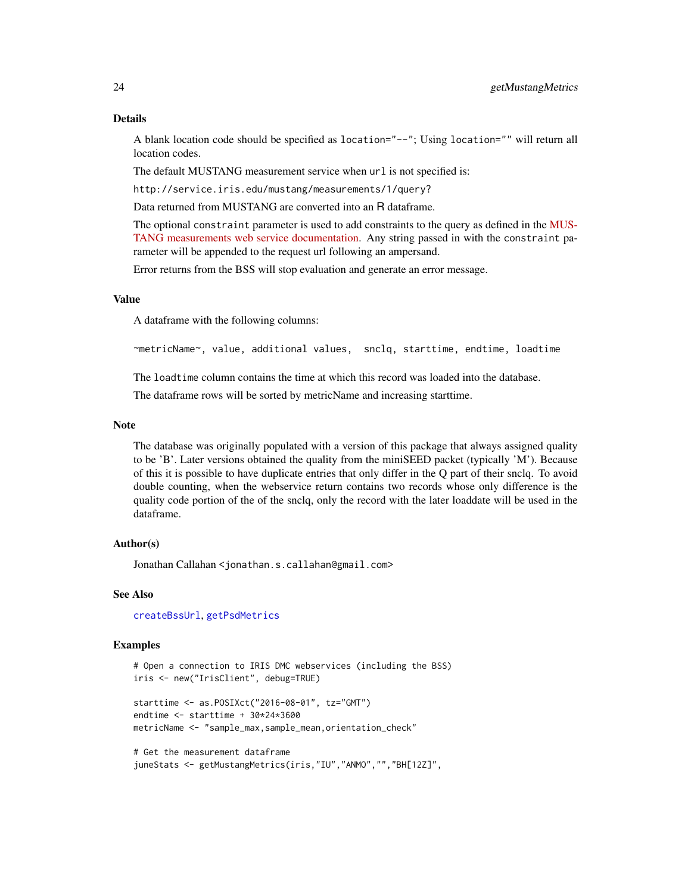A blank location code should be specified as location="--"; Using location="" will return all location codes.

The default MUSTANG measurement service when url is not specified is:

http://service.iris.edu/mustang/measurements/1/query?

Data returned from MUSTANG are converted into an R dataframe.

The optional constraint parameter is used to add constraints to the query as defined in the [MUS-](http://service.iris.edu/mustang/measurements/1)[TANG measurements web service documentation.](http://service.iris.edu/mustang/measurements/1) Any string passed in with the constraint parameter will be appended to the request url following an ampersand.

Error returns from the BSS will stop evaluation and generate an error message.

## Value

A dataframe with the following columns:

~metricName~, value, additional values, snclq, starttime, endtime, loadtime

The loadtime column contains the time at which this record was loaded into the database.

The dataframe rows will be sorted by metricName and increasing starttime.

#### Note

The database was originally populated with a version of this package that always assigned quality to be 'B'. Later versions obtained the quality from the miniSEED packet (typically 'M'). Because of this it is possible to have duplicate entries that only differ in the Q part of their snclq. To avoid double counting, when the webservice return contains two records whose only difference is the quality code portion of the of the snclq, only the record with the later loaddate will be used in the dataframe.

## Author(s)

Jonathan Callahan <jonathan.s.callahan@gmail.com>

#### See Also

[createBssUrl](#page-9-1), [getPsdMetrics](#page-24-1)

#### Examples

# Open a connection to IRIS DMC webservices (including the BSS) iris <- new("IrisClient", debug=TRUE)

starttime <- as.POSIXct("2016-08-01", tz="GMT") endtime <- starttime + 30\*24\*3600 metricName <- "sample\_max,sample\_mean,orientation\_check"

```
# Get the measurement dataframe
juneStats <- getMustangMetrics(iris,"IU","ANMO","","BH[12Z]",
```
<span id="page-23-0"></span>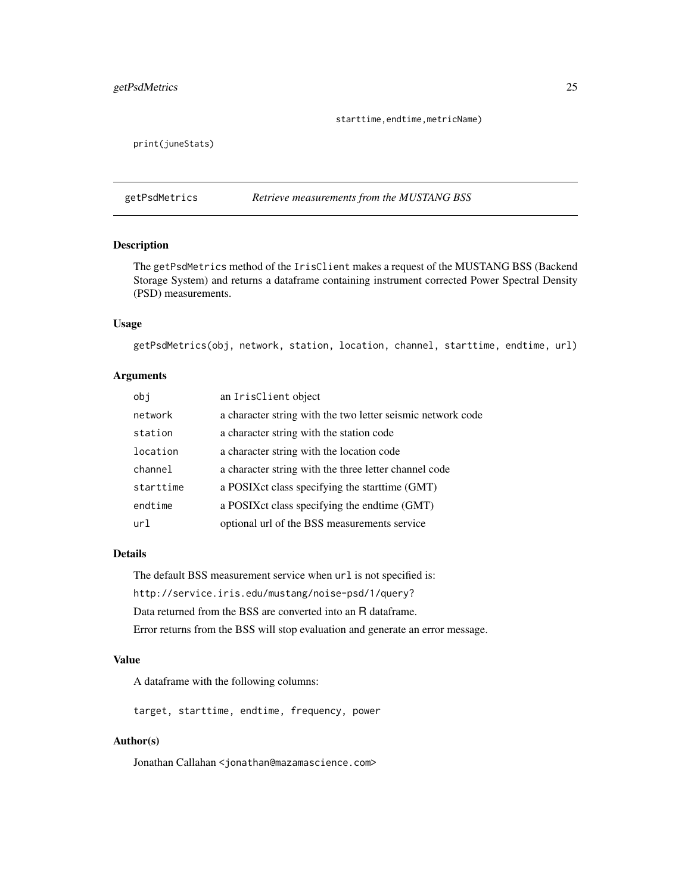## <span id="page-24-0"></span>getPsdMetrics 25

starttime, endtime, metricName)

print(juneStats)

<span id="page-24-1"></span>getPsdMetrics *Retrieve measurements from the MUSTANG BSS*

## Description

The getPsdMetrics method of the IrisClient makes a request of the MUSTANG BSS (Backend Storage System) and returns a dataframe containing instrument corrected Power Spectral Density (PSD) measurements.

#### Usage

getPsdMetrics(obj, network, station, location, channel, starttime, endtime, url)

#### Arguments

| obi       | an IrisClient object                                        |
|-----------|-------------------------------------------------------------|
| network   | a character string with the two letter seismic network code |
| station   | a character string with the station code                    |
| location  | a character string with the location code                   |
| channel   | a character string with the three letter channel code       |
| starttime | a POSIX ct class specifying the start time (GMT)            |
| endtime   | a POSIX ct class specifying the endtime (GMT)               |
| ur1       | optional url of the BSS measurements service                |

#### Details

The default BSS measurement service when  $url$  is not specified is: http://service.iris.edu/mustang/noise-psd/1/query? Data returned from the BSS are converted into an R dataframe. Error returns from the BSS will stop evaluation and generate an error message.

## Value

A dataframe with the following columns:

target, starttime, endtime, frequency, power

#### Author(s)

Jonathan Callahan <jonathan@mazamascience.com>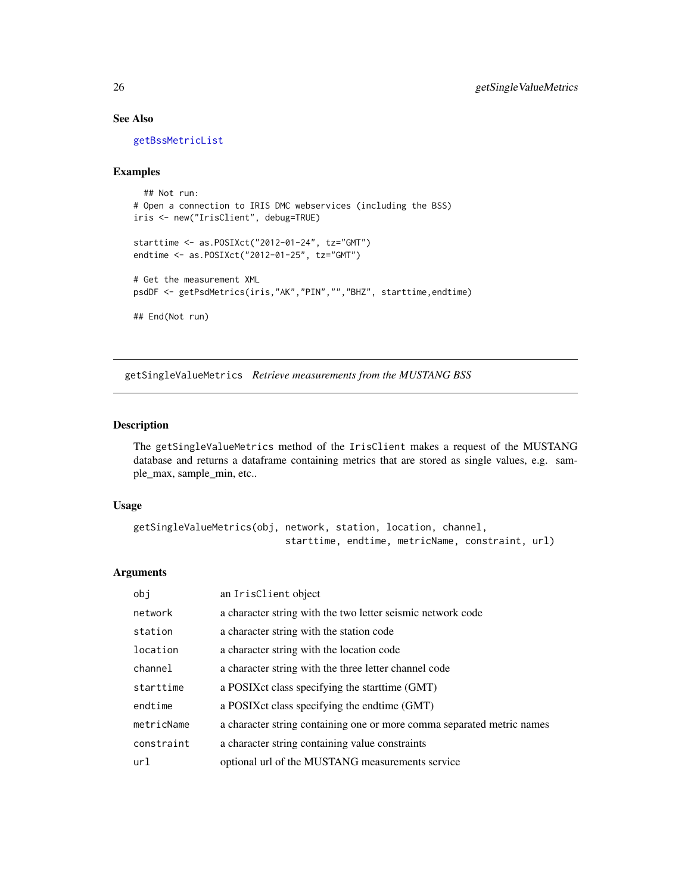## See Also

[getBssMetricList](#page-17-1)

#### Examples

```
## Not run:
# Open a connection to IRIS DMC webservices (including the BSS)
iris <- new("IrisClient", debug=TRUE)
starttime <- as.POSIXct("2012-01-24", tz="GMT")
endtime <- as.POSIXct("2012-01-25", tz="GMT")
# Get the measurement XML
psdDF <- getPsdMetrics(iris,"AK","PIN","","BHZ", starttime,endtime)
## End(Not run)
```
<span id="page-25-1"></span>getSingleValueMetrics *Retrieve measurements from the MUSTANG BSS*

#### Description

The getSingleValueMetrics method of the IrisClient makes a request of the MUSTANG database and returns a dataframe containing metrics that are stored as single values, e.g. sample\_max, sample\_min, etc..

#### Usage

```
getSingleValueMetrics(obj, network, station, location, channel,
                           starttime, endtime, metricName, constraint, url)
```
## Arguments

| obj        | an IrisClient object                                                   |
|------------|------------------------------------------------------------------------|
| network    | a character string with the two letter seismic network code            |
| station    | a character string with the station code                               |
| location   | a character string with the location code                              |
| channel    | a character string with the three letter channel code                  |
| starttime  | a POSIX ct class specifying the start time (GMT)                       |
| endtime    | a POSIX ct class specifying the endtime (GMT)                          |
| metricName | a character string containing one or more comma separated metric names |
| constraint | a character string containing value constraints                        |
| url        | optional url of the MUSTANG measurements service                       |

<span id="page-25-0"></span>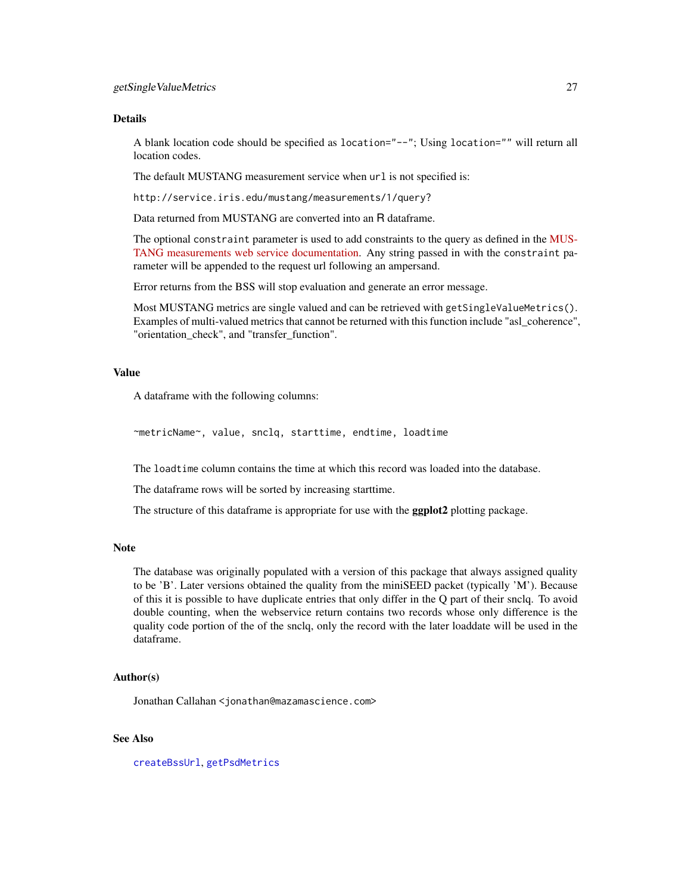#### <span id="page-26-0"></span>Details

A blank location code should be specified as location="--"; Using location="" will return all location codes.

The default MUSTANG measurement service when url is not specified is:

http://service.iris.edu/mustang/measurements/1/query?

Data returned from MUSTANG are converted into an R dataframe.

The optional constraint parameter is used to add constraints to the query as defined in the [MUS-](http://service.iris.edu/mustang/measurements/1)[TANG measurements web service documentation.](http://service.iris.edu/mustang/measurements/1) Any string passed in with the constraint parameter will be appended to the request url following an ampersand.

Error returns from the BSS will stop evaluation and generate an error message.

Most MUSTANG metrics are single valued and can be retrieved with getSingleValueMetrics(). Examples of multi-valued metrics that cannot be returned with this function include "asl\_coherence", "orientation\_check", and "transfer\_function".

#### Value

A dataframe with the following columns:

~metricName~, value, snclq, starttime, endtime, loadtime

The loadtime column contains the time at which this record was loaded into the database.

The dataframe rows will be sorted by increasing starttime.

The structure of this dataframe is appropriate for use with the **ggplot2** plotting package.

#### Note

The database was originally populated with a version of this package that always assigned quality to be 'B'. Later versions obtained the quality from the miniSEED packet (typically 'M'). Because of this it is possible to have duplicate entries that only differ in the Q part of their snclq. To avoid double counting, when the webservice return contains two records whose only difference is the quality code portion of the of the snclq, only the record with the later loaddate will be used in the dataframe.

## Author(s)

Jonathan Callahan <jonathan@mazamascience.com>

## See Also

[createBssUrl](#page-9-1), [getPsdMetrics](#page-24-1)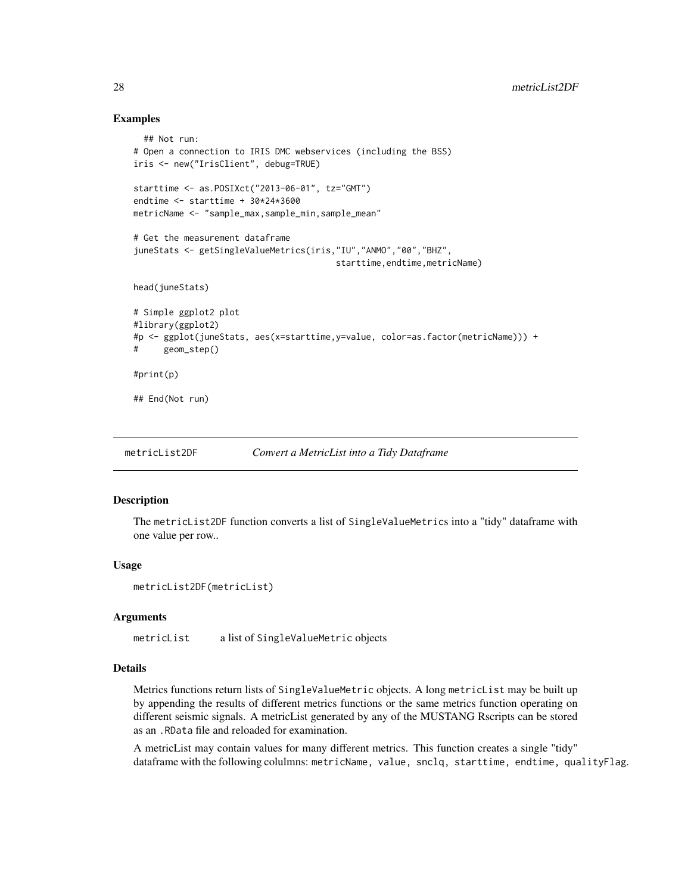## Examples

```
## Not run:
# Open a connection to IRIS DMC webservices (including the BSS)
iris <- new("IrisClient", debug=TRUE)
starttime <- as.POSIXct("2013-06-01", tz="GMT")
endtime <- starttime + 30*24*3600
metricName <- "sample_max,sample_min,sample_mean"
# Get the measurement dataframe
juneStats <- getSingleValueMetrics(iris,"IU","ANMO","00","BHZ",
                                        starttime, endtime, metricName)
head(juneStats)
# Simple ggplot2 plot
#library(ggplot2)
#p <- ggplot(juneStats, aes(x=starttime,y=value, color=as.factor(metricName))) +
# geom_step()
#print(p)
## End(Not run)
```
<span id="page-27-1"></span>metricList2DF *Convert a MetricList into a Tidy Dataframe*

### Description

The metricList2DF function converts a list of SingleValueMetrics into a "tidy" dataframe with one value per row..

#### Usage

```
metricList2DF(metricList)
```
#### Arguments

metricList a list of SingleValueMetric objects

#### Details

Metrics functions return lists of SingleValueMetric objects. A long metricList may be built up by appending the results of different metrics functions or the same metrics function operating on different seismic signals. A metricList generated by any of the MUSTANG Rscripts can be stored as an .RData file and reloaded for examination.

A metricList may contain values for many different metrics. This function creates a single "tidy" dataframe with the following colulmns: metricName, value, snclq, starttime, endtime, qualityFlag.

<span id="page-27-0"></span>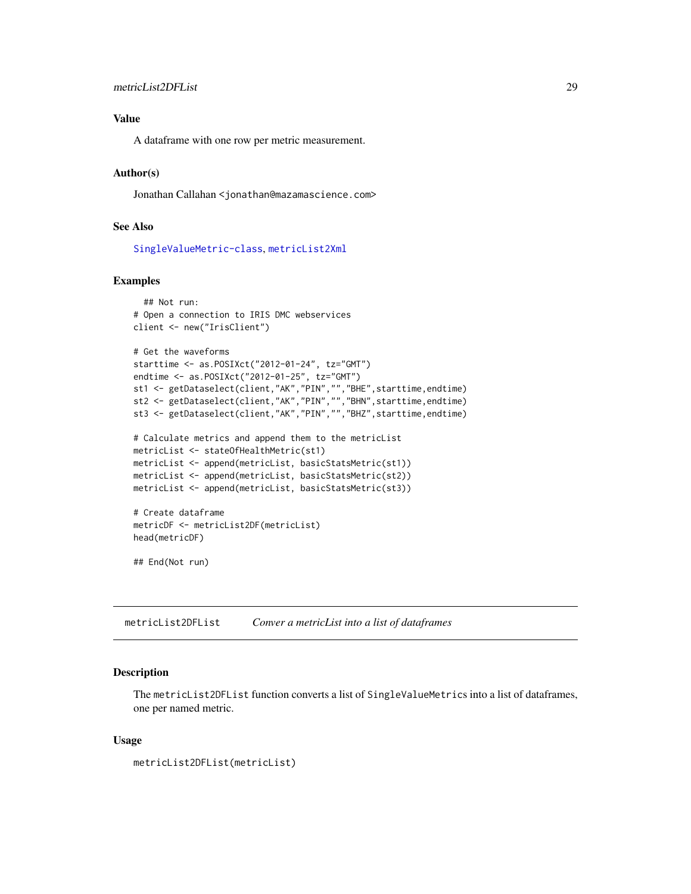## <span id="page-28-0"></span>Value

A dataframe with one row per metric measurement.

#### Author(s)

Jonathan Callahan <jonathan@mazamascience.com>

#### See Also

[SingleValueMetric-class](#page-35-1), [metricList2Xml](#page-29-1)

## Examples

```
## Not run:
# Open a connection to IRIS DMC webservices
client <- new("IrisClient")
# Get the waveforms
starttime <- as.POSIXct("2012-01-24", tz="GMT")
endtime <- as.POSIXct("2012-01-25", tz="GMT")
st1 <- getDataselect(client,"AK","PIN","","BHE",starttime,endtime)
st2 <- getDataselect(client,"AK","PIN","","BHN",starttime,endtime)
st3 <- getDataselect(client,"AK","PIN","","BHZ",starttime,endtime)
# Calculate metrics and append them to the metricList
metricList <- stateOfHealthMetric(st1)
metricList <- append(metricList, basicStatsMetric(st1))
metricList <- append(metricList, basicStatsMetric(st2))
metricList <- append(metricList, basicStatsMetric(st3))
# Create dataframe
metricDF <- metricList2DF(metricList)
head(metricDF)
```
## End(Not run)

metricList2DFList *Conver a metricList into a list of dataframes*

#### Description

The metricList2DFList function converts a list of SingleValueMetrics into a list of dataframes, one per named metric.

#### Usage

```
metricList2DFList(metricList)
```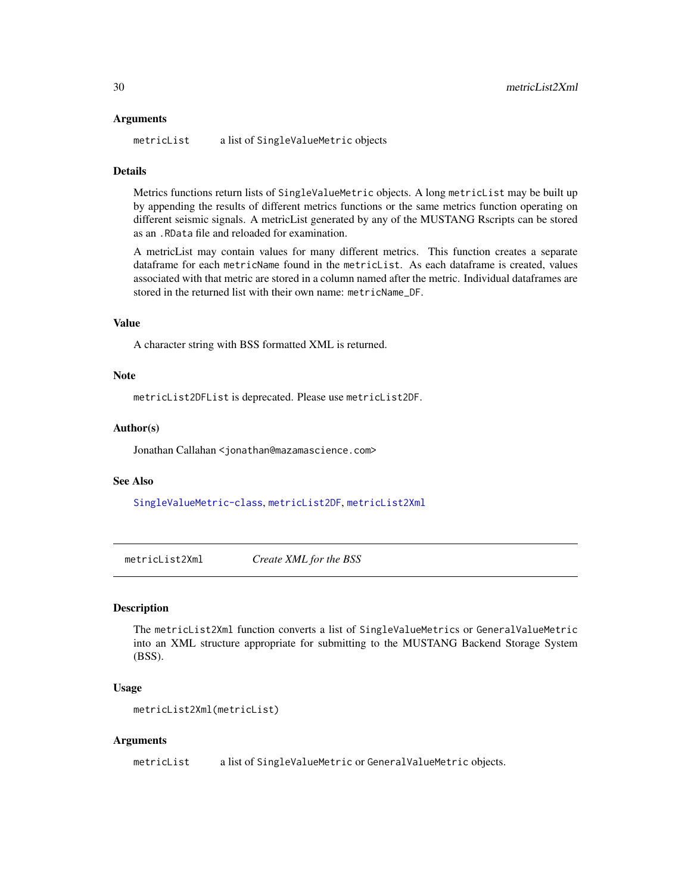#### <span id="page-29-0"></span>Arguments

metricList a list of SingleValueMetric objects

#### Details

Metrics functions return lists of SingleValueMetric objects. A long metricList may be built up by appending the results of different metrics functions or the same metrics function operating on different seismic signals. A metricList generated by any of the MUSTANG Rscripts can be stored as an .RData file and reloaded for examination.

A metricList may contain values for many different metrics. This function creates a separate dataframe for each metricName found in the metricList. As each dataframe is created, values associated with that metric are stored in a column named after the metric. Individual dataframes are stored in the returned list with their own name: metricName\_DF.

## Value

A character string with BSS formatted XML is returned.

#### **Note**

metricList2DFList is deprecated. Please use metricList2DF.

#### Author(s)

Jonathan Callahan <jonathan@mazamascience.com>

## See Also

[SingleValueMetric-class](#page-35-1), [metricList2DF](#page-27-1), [metricList2Xml](#page-29-1)

<span id="page-29-1"></span>metricList2Xml *Create XML for the BSS*

## Description

The metricList2Xml function converts a list of SingleValueMetrics or GeneralValueMetric into an XML structure appropriate for submitting to the MUSTANG Backend Storage System (BSS).

#### Usage

```
metricList2Xml(metricList)
```
#### Arguments

metricList a list of SingleValueMetric or GeneralValueMetric objects.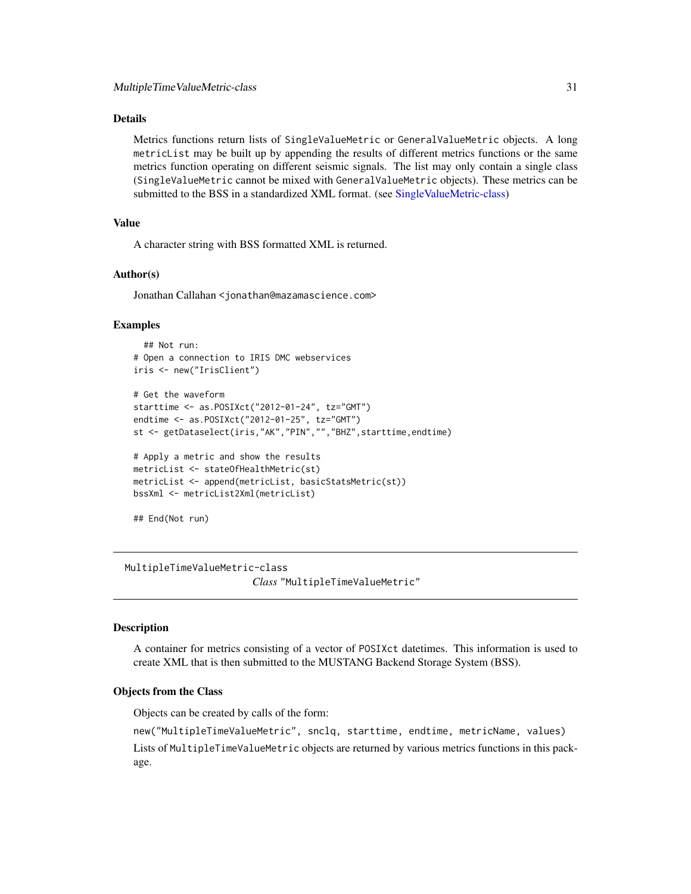## <span id="page-30-0"></span>Details

Metrics functions return lists of SingleValueMetric or GeneralValueMetric objects. A long metricList may be built up by appending the results of different metrics functions or the same metrics function operating on different seismic signals. The list may only contain a single class (SingleValueMetric cannot be mixed with GeneralValueMetric objects). These metrics can be submitted to the BSS in a standardized XML format. (see [SingleValueMetric-class\)](#page-35-1)

## Value

A character string with BSS formatted XML is returned.

#### Author(s)

Jonathan Callahan <jonathan@mazamascience.com>

#### Examples

```
## Not run:
# Open a connection to IRIS DMC webservices
iris <- new("IrisClient")
# Get the waveform
starttime <- as.POSIXct("2012-01-24", tz="GMT")
endtime <- as.POSIXct("2012-01-25", tz="GMT")
st <- getDataselect(iris,"AK","PIN","","BHZ",starttime,endtime)
# Apply a metric and show the results
metricList <- stateOfHealthMetric(st)
metricList <- append(metricList, basicStatsMetric(st))
bssXml <- metricList2Xml(metricList)
## End(Not run)
```
MultipleTimeValueMetric-class

*Class* "MultipleTimeValueMetric"

## Description

A container for metrics consisting of a vector of POSIXct datetimes. This information is used to create XML that is then submitted to the MUSTANG Backend Storage System (BSS).

#### Objects from the Class

Objects can be created by calls of the form:

```
new("MultipleTimeValueMetric", snclq, starttime, endtime, metricName, values)
Lists of MultipleTimeValueMetric objects are returned by various metrics functions in this pack-
age.
```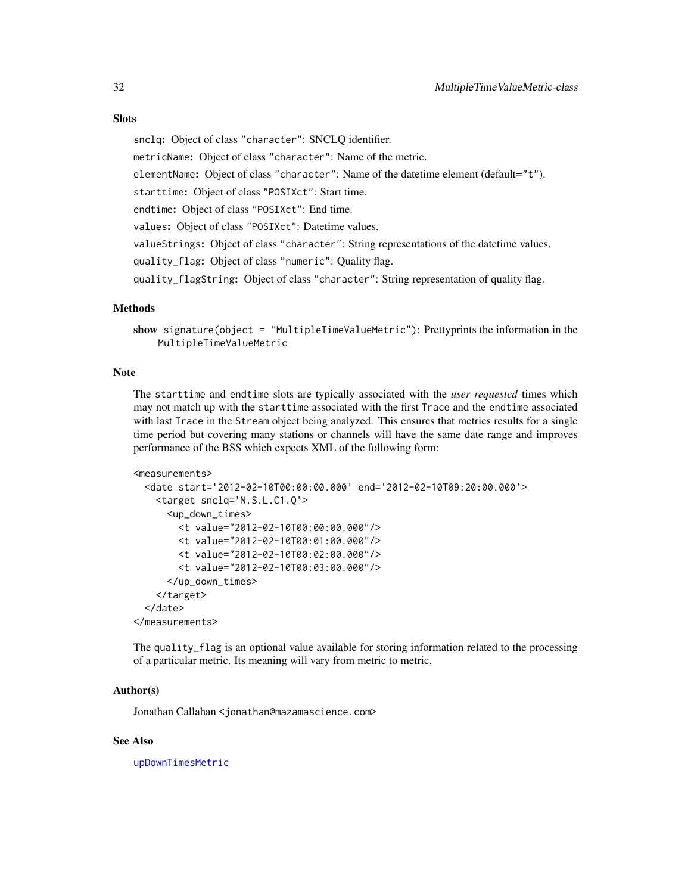## <span id="page-31-0"></span>**Slots**

snclq: Object of class "character": SNCLQ identifier.

metricName: Object of class "character": Name of the metric.

elementName: Object of class "character": Name of the datetime element (default="t").

starttime: Object of class "POSIXct": Start time.

endtime: Object of class "POSIXct": End time.

values: Object of class "POSIXct": Datetime values.

valueStrings: Object of class "character": String representations of the datetime values.

quality\_flag: Object of class "numeric": Quality flag.

quality\_flagString: Object of class "character": String representation of quality flag.

#### Methods

```
show signature(object = "MultipleTimeValueMetric"): Prettyprints the information in the
    MultipleTimeValueMetric
```
#### Note

The starttime and endtime slots are typically associated with the *user requested* times which may not match up with the starttime associated with the first Trace and the endtime associated with last Trace in the Stream object being analyzed. This ensures that metrics results for a single time period but covering many stations or channels will have the same date range and improves performance of the BSS which expects XML of the following form:

```
<measurements>
```

```
<date start='2012-02-10T00:00:00.000' end='2012-02-10T09:20:00.000'>
   <target snclq='N.S.L.C1.Q'>
     <up_down_times>
       <t value="2012-02-10T00:00:00.000"/>
       <t value="2012-02-10T00:01:00.000"/>
       <t value="2012-02-10T00:02:00.000"/>
       <t value="2012-02-10T00:03:00.000"/>
     </up_down_times>
   </target>
 </date>
</measurements>
```
The quality\_flag is an optional value available for storing information related to the processing of a particular metric. Its meaning will vary from metric to metric.

#### Author(s)

Jonathan Callahan <jonathan@mazamascience.com>

#### See Also

[upDownTimesMetric](#page-49-1)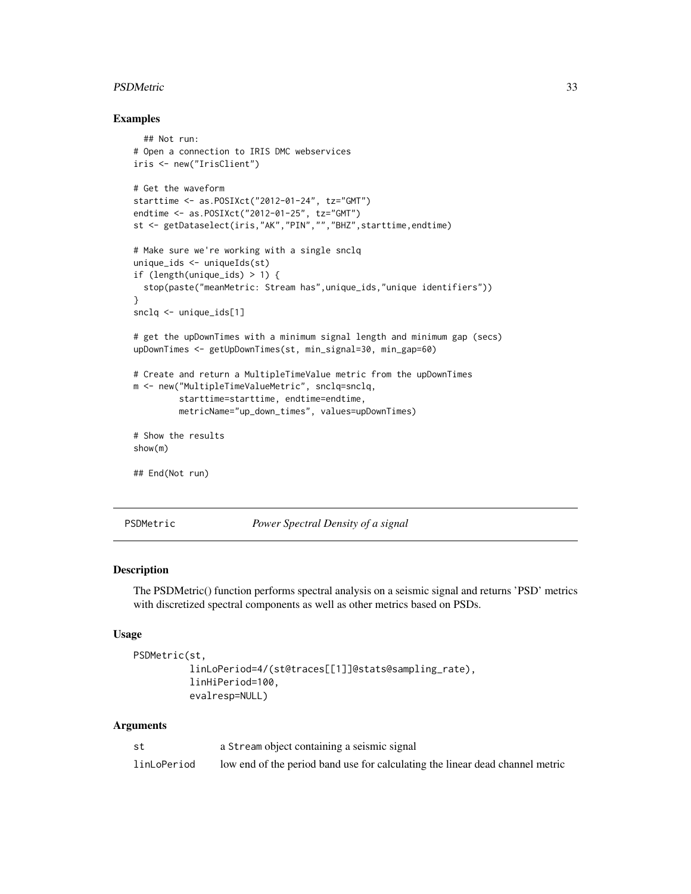#### <span id="page-32-0"></span>PSDMetric 33

#### Examples

```
## Not run:
# Open a connection to IRIS DMC webservices
iris <- new("IrisClient")
# Get the waveform
starttime <- as.POSIXct("2012-01-24", tz="GMT")
endtime <- as.POSIXct("2012-01-25", tz="GMT")
st <- getDataselect(iris,"AK","PIN","","BHZ",starttime,endtime)
# Make sure we're working with a single snclq
unique_ids <- uniqueIds(st)
if (length(unique_ids) > 1) {
 stop(paste("meanMetric: Stream has",unique_ids,"unique identifiers"))
}
snclq <- unique_ids[1]
# get the upDownTimes with a minimum signal length and minimum gap (secs)
upDownTimes <- getUpDownTimes(st, min_signal=30, min_gap=60)
# Create and return a MultipleTimeValue metric from the upDownTimes
m <- new("MultipleTimeValueMetric", snclq=snclq,
         starttime=starttime, endtime=endtime,
        metricName="up_down_times", values=upDownTimes)
# Show the results
show(m)
## End(Not run)
```
PSDMetric *Power Spectral Density of a signal*

### Description

The PSDMetric() function performs spectral analysis on a seismic signal and returns 'PSD' metrics with discretized spectral components as well as other metrics based on PSDs.

#### Usage

```
PSDMetric(st,
```

```
linLoPeriod=4/(st@traces[[1]]@stats@sampling_rate),
linHiPeriod=100,
evalresp=NULL)
```
## Arguments

| st          | a Stream object containing a seismic signal                                   |
|-------------|-------------------------------------------------------------------------------|
| linLoPeriod | low end of the period band use for calculating the linear dead channel metric |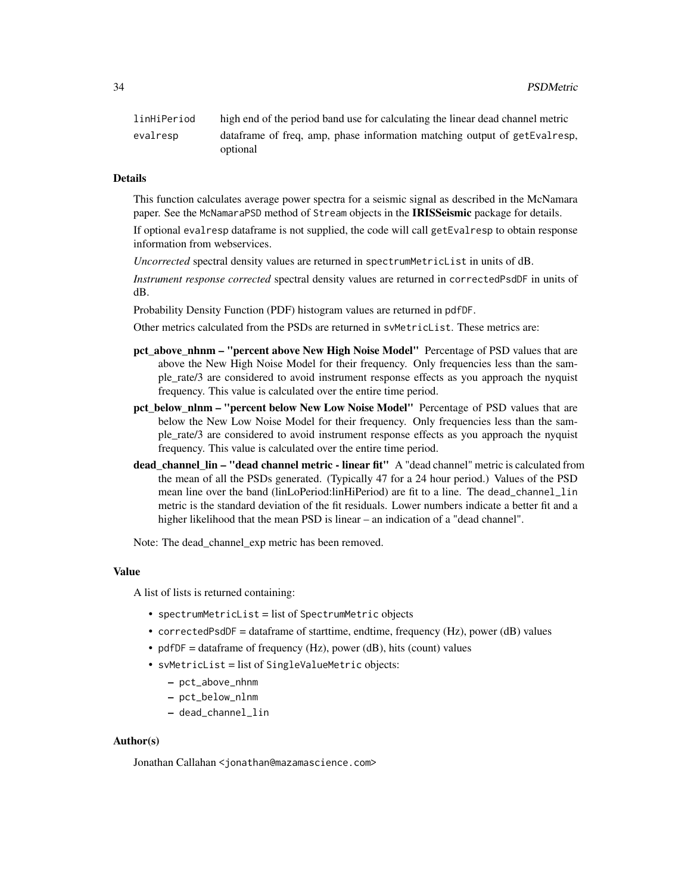| linHiPeriod          | high end of the period band use for calculating the linear dead channel metric |
|----------------------|--------------------------------------------------------------------------------|
| evalresp<br>optional | data frame of freq, amp, phase information matching output of getEvalresp,     |

#### Details

This function calculates average power spectra for a seismic signal as described in the McNamara paper. See the McNamaraPSD method of Stream objects in the **IRISSeismic** package for details.

If optional evalresp dataframe is not supplied, the code will call getEvalresp to obtain response information from webservices.

*Uncorrected* spectral density values are returned in spectrumMetricList in units of dB.

*Instrument response corrected* spectral density values are returned in correctedPsdDF in units of dB.

Probability Density Function (PDF) histogram values are returned in pdfDF.

Other metrics calculated from the PSDs are returned in svMetricList. These metrics are:

- pct above nhnm "percent above New High Noise Model" Percentage of PSD values that are above the New High Noise Model for their frequency. Only frequencies less than the sample\_rate/3 are considered to avoid instrument response effects as you approach the nyquist frequency. This value is calculated over the entire time period.
- pct below nlnm "percent below New Low Noise Model" Percentage of PSD values that are below the New Low Noise Model for their frequency. Only frequencies less than the sample\_rate/3 are considered to avoid instrument response effects as you approach the nyquist frequency. This value is calculated over the entire time period.
- dead\_channel\_lin "dead channel metric linear fit" A "dead channel" metric is calculated from the mean of all the PSDs generated. (Typically 47 for a 24 hour period.) Values of the PSD mean line over the band (linLoPeriod:linHiPeriod) are fit to a line. The dead\_channel\_lin metric is the standard deviation of the fit residuals. Lower numbers indicate a better fit and a higher likelihood that the mean PSD is linear – an indication of a "dead channel".

Note: The dead channel exp metric has been removed.

#### Value

A list of lists is returned containing:

- spectrumMetricList = list of SpectrumMetric objects
- correctedPsdDF = dataframe of starttime, endtime, frequency  $(Hz)$ , power  $(dB)$  values
- pdfDF = dataframe of frequency (Hz), power (dB), hits (count) values
- svMetricList = list of SingleValueMetric objects:
	- pct\_above\_nhnm
	- pct\_below\_nlnm
	- dead\_channel\_lin

#### Author(s)

Jonathan Callahan <jonathan@mazamascience.com>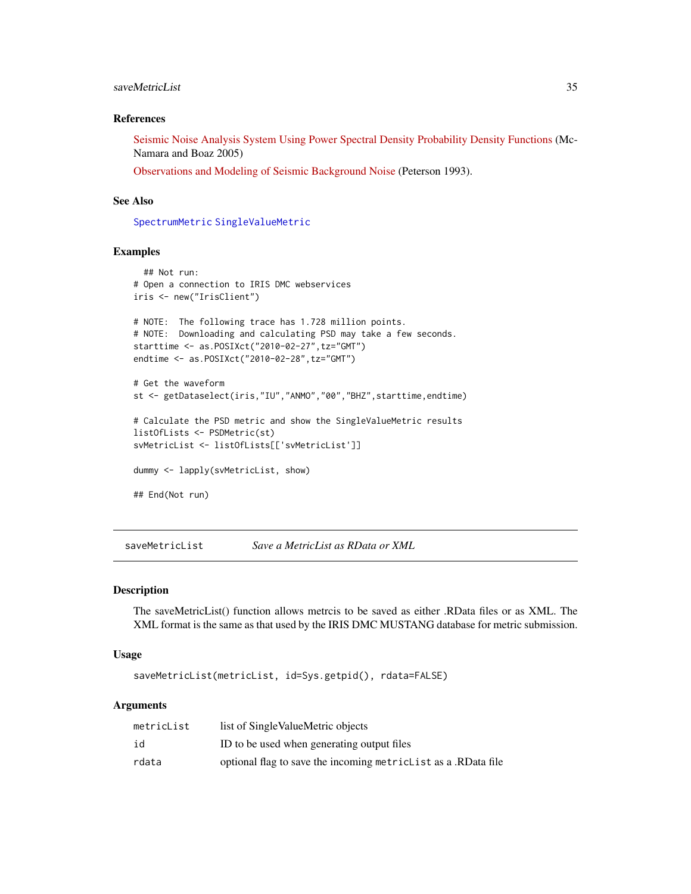## <span id="page-34-0"></span>saveMetricList 35

#### References

[Seismic Noise Analysis System Using Power Spectral Density Probability Density Functions](https://pubs.usgs.gov/of/2005/1438/pdf/OFR-1438.pdf) (Mc-Namara and Boaz 2005)

[Observations and Modeling of Seismic Background Noise](https://pubs.er.usgs.gov/publication/ofr93322) (Peterson 1993).

## See Also

[SpectrumMetric](#page-39-1) [SingleValueMetric](#page-35-2)

#### Examples

```
## Not run:
# Open a connection to IRIS DMC webservices
iris <- new("IrisClient")
# NOTE: The following trace has 1.728 million points.
# NOTE: Downloading and calculating PSD may take a few seconds.
starttime <- as.POSIXct("2010-02-27",tz="GMT")
endtime <- as.POSIXct("2010-02-28",tz="GMT")
# Get the waveform
st <- getDataselect(iris,"IU","ANMO","00","BHZ",starttime,endtime)
# Calculate the PSD metric and show the SingleValueMetric results
listOfLists <- PSDMetric(st)
svMetricList <- listOfLists[['svMetricList']]
dummy <- lapply(svMetricList, show)
## End(Not run)
```
saveMetricList *Save a MetricList as RData or XML*

#### Description

The saveMetricList() function allows metrcis to be saved as either .RData files or as XML. The XML format is the same as that used by the IRIS DMC MUSTANG database for metric submission.

#### Usage

saveMetricList(metricList, id=Sys.getpid(), rdata=FALSE)

#### Arguments

| metricList | list of Single ValueMetric objects                               |
|------------|------------------------------------------------------------------|
| id         | ID to be used when generating output files                       |
| rdata      | optional flag to save the incoming metriclist as a .RD at a file |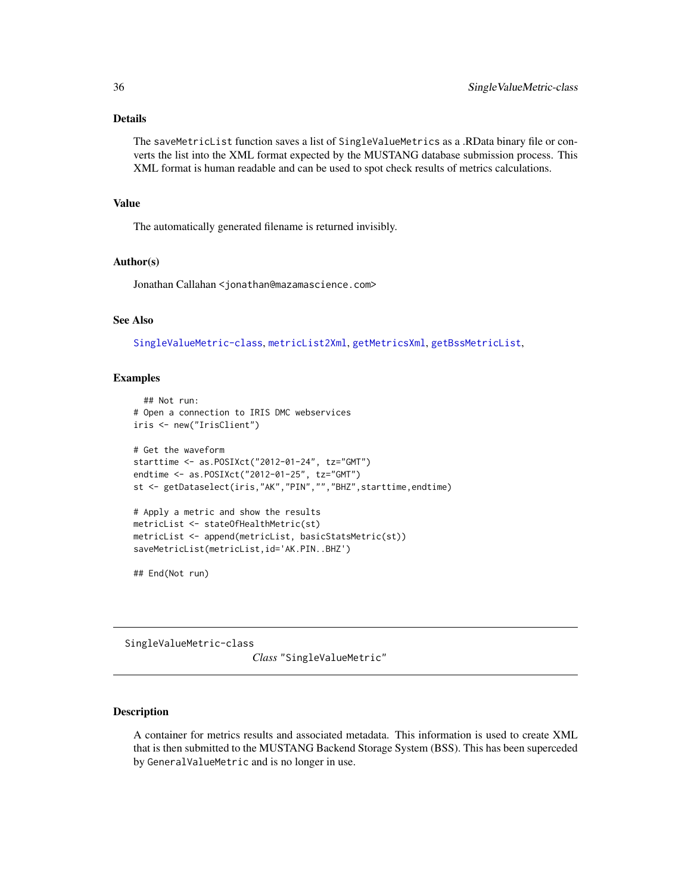## <span id="page-35-0"></span>Details

The saveMetricList function saves a list of SingleValueMetrics as a .RData binary file or converts the list into the XML format expected by the MUSTANG database submission process. This XML format is human readable and can be used to spot check results of metrics calculations.

#### Value

The automatically generated filename is returned invisibly.

#### Author(s)

Jonathan Callahan <jonathan@mazamascience.com>

## See Also

[SingleValueMetric-class](#page-35-1), [metricList2Xml](#page-29-1), [getMetricsXml](#page-21-1), [getBssMetricList](#page-17-1),

## Examples

```
## Not run:
# Open a connection to IRIS DMC webservices
iris <- new("IrisClient")
# Get the waveform
starttime <- as.POSIXct("2012-01-24", tz="GMT")
endtime <- as.POSIXct("2012-01-25", tz="GMT")
st <- getDataselect(iris,"AK","PIN","","BHZ",starttime,endtime)
# Apply a metric and show the results
metricList <- stateOfHealthMetric(st)
metricList <- append(metricList, basicStatsMetric(st))
saveMetricList(metricList,id='AK.PIN..BHZ')
```
## End(Not run)

<span id="page-35-1"></span>SingleValueMetric-class

*Class* "SingleValueMetric"

#### <span id="page-35-2"></span>Description

A container for metrics results and associated metadata. This information is used to create XML that is then submitted to the MUSTANG Backend Storage System (BSS). This has been superceded by GeneralValueMetric and is no longer in use.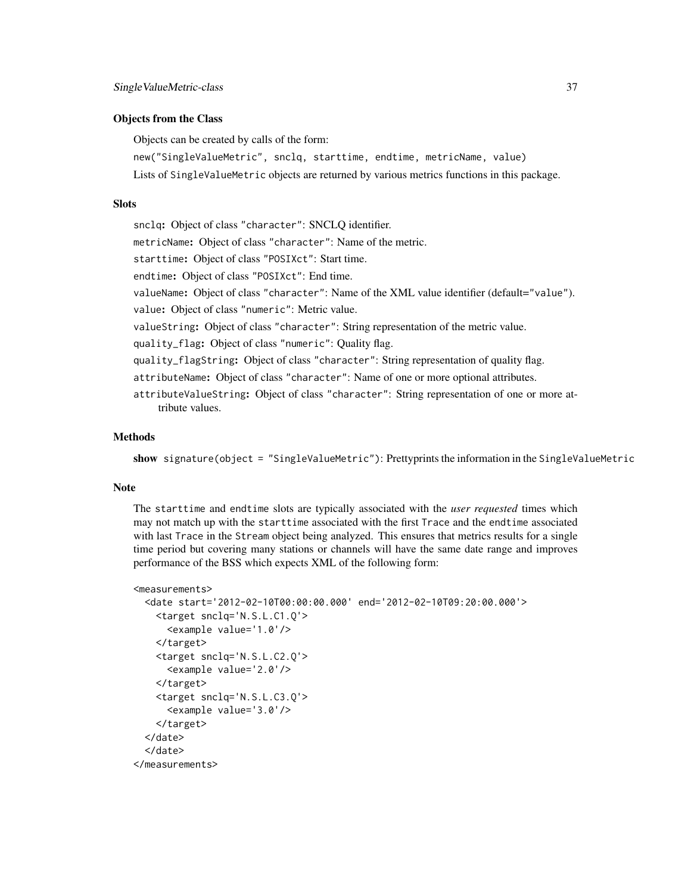#### Objects from the Class

Objects can be created by calls of the form:

new("SingleValueMetric", snclq, starttime, endtime, metricName, value)

Lists of SingleValueMetric objects are returned by various metrics functions in this package.

## **Slots**

snclq: Object of class "character": SNCLQ identifier.

metricName: Object of class "character": Name of the metric.

starttime: Object of class "POSIXct": Start time.

endtime: Object of class "POSIXct": End time.

valueName: Object of class "character": Name of the XML value identifier (default="value").

value: Object of class "numeric": Metric value.

valueString: Object of class "character": String representation of the metric value.

quality\_flag: Object of class "numeric": Quality flag.

quality\_flagString: Object of class "character": String representation of quality flag.

attributeName: Object of class "character": Name of one or more optional attributes.

attributeValueString: Object of class "character": String representation of one or more attribute values.

### Methods

show signature(object = "SingleValueMetric"): Prettyprints the information in the SingleValueMetric

#### Note

The starttime and endtime slots are typically associated with the *user requested* times which may not match up with the starttime associated with the first Trace and the endtime associated with last Trace in the Stream object being analyzed. This ensures that metrics results for a single time period but covering many stations or channels will have the same date range and improves performance of the BSS which expects XML of the following form:

```
<measurements>
```

```
<date start='2012-02-10T00:00:00.000' end='2012-02-10T09:20:00.000'>
   <target snclq='N.S.L.C1.Q'>
     <example value='1.0'/>
   </target>
   <target snclq='N.S.L.C2.Q'>
     <example value='2.0'/>
   </target>
   <target snclq='N.S.L.C3.Q'>
     <example value='3.0'/>
   </target>
 </date>
 </date>
</measurements>
```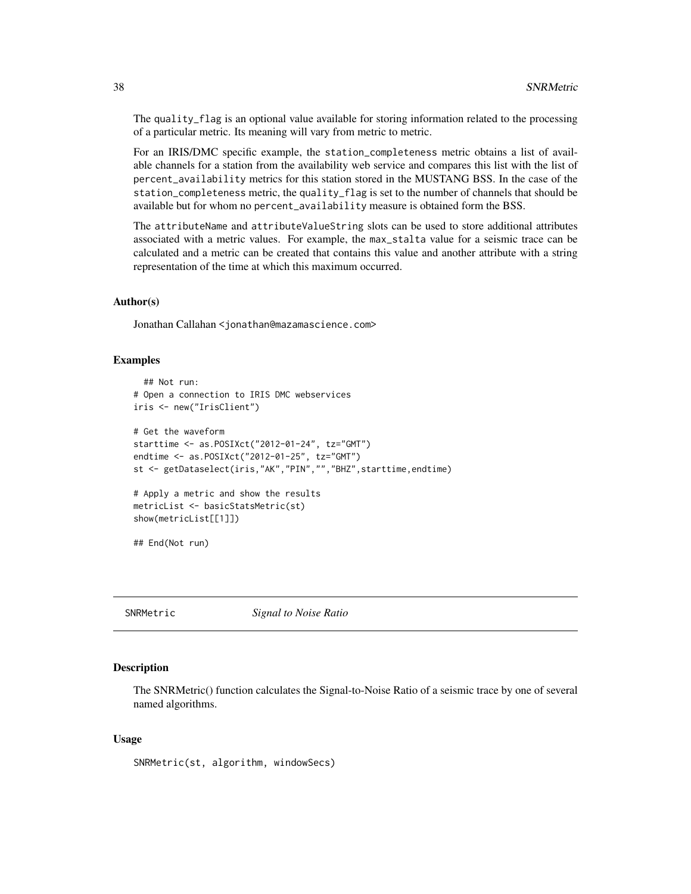The quality\_flag is an optional value available for storing information related to the processing of a particular metric. Its meaning will vary from metric to metric.

For an IRIS/DMC specific example, the station\_completeness metric obtains a list of available channels for a station from the availability web service and compares this list with the list of percent\_availability metrics for this station stored in the MUSTANG BSS. In the case of the station\_completeness metric, the quality\_flag is set to the number of channels that should be available but for whom no percent\_availability measure is obtained form the BSS.

The attributeName and attributeValueString slots can be used to store additional attributes associated with a metric values. For example, the max\_stalta value for a seismic trace can be calculated and a metric can be created that contains this value and another attribute with a string representation of the time at which this maximum occurred.

## Author(s)

Jonathan Callahan <jonathan@mazamascience.com>

#### Examples

```
## Not run:
# Open a connection to IRIS DMC webservices
iris <- new("IrisClient")
# Get the waveform
starttime <- as.POSIXct("2012-01-24", tz="GMT")
endtime <- as.POSIXct("2012-01-25", tz="GMT")
st <- getDataselect(iris,"AK","PIN","","BHZ",starttime,endtime)
# Apply a metric and show the results
metricList <- basicStatsMetric(st)
show(metricList[[1]])
## End(Not run)
```
SNRMetric *Signal to Noise Ratio*

#### **Description**

The SNRMetric() function calculates the Signal-to-Noise Ratio of a seismic trace by one of several named algorithms.

#### Usage

SNRMetric(st, algorithm, windowSecs)

<span id="page-37-0"></span>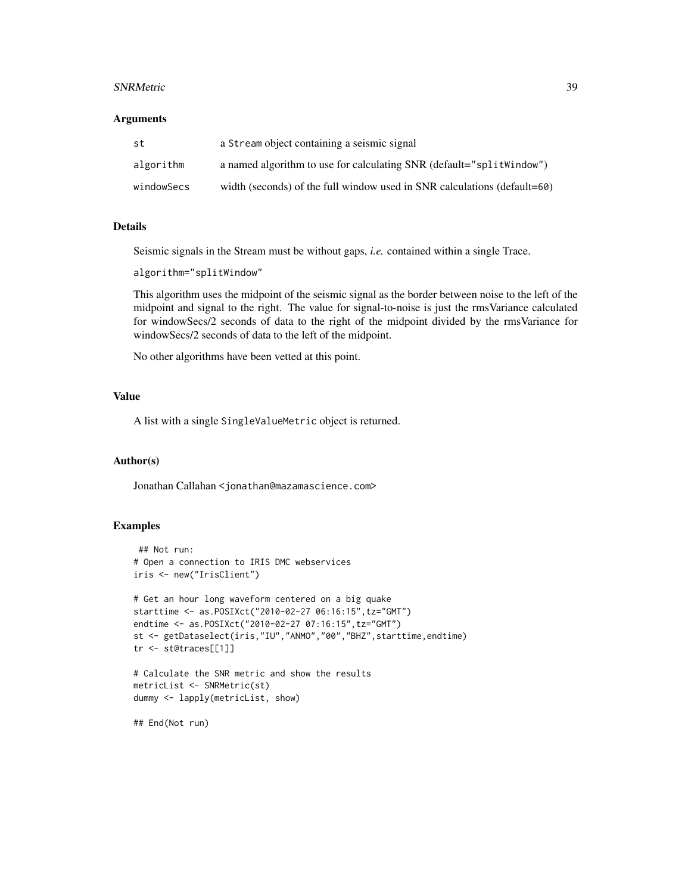#### SNRMetric 39

#### **Arguments**

| st         | a Stream object containing a seismic signal                              |
|------------|--------------------------------------------------------------------------|
| algorithm  | a named algorithm to use for calculating SNR (default="split Nindow")    |
| windowSecs | width (seconds) of the full window used in SNR calculations (default=60) |

#### Details

Seismic signals in the Stream must be without gaps, *i.e.* contained within a single Trace.

algorithm="splitWindow"

This algorithm uses the midpoint of the seismic signal as the border between noise to the left of the midpoint and signal to the right. The value for signal-to-noise is just the rmsVariance calculated for windowSecs/2 seconds of data to the right of the midpoint divided by the rmsVariance for windowSecs/2 seconds of data to the left of the midpoint.

No other algorithms have been vetted at this point.

## Value

A list with a single SingleValueMetric object is returned.

#### Author(s)

Jonathan Callahan <jonathan@mazamascience.com>

#### Examples

```
## Not run:
# Open a connection to IRIS DMC webservices
iris <- new("IrisClient")
# Get an hour long waveform centered on a big quake
starttime <- as.POSIXct("2010-02-27 06:16:15",tz="GMT")
endtime <- as.POSIXct("2010-02-27 07:16:15",tz="GMT")
st <- getDataselect(iris,"IU","ANMO","00","BHZ",starttime,endtime)
tr <- st@traces[[1]]
# Calculate the SNR metric and show the results
metricList <- SNRMetric(st)
dummy <- lapply(metricList, show)
## End(Not run)
```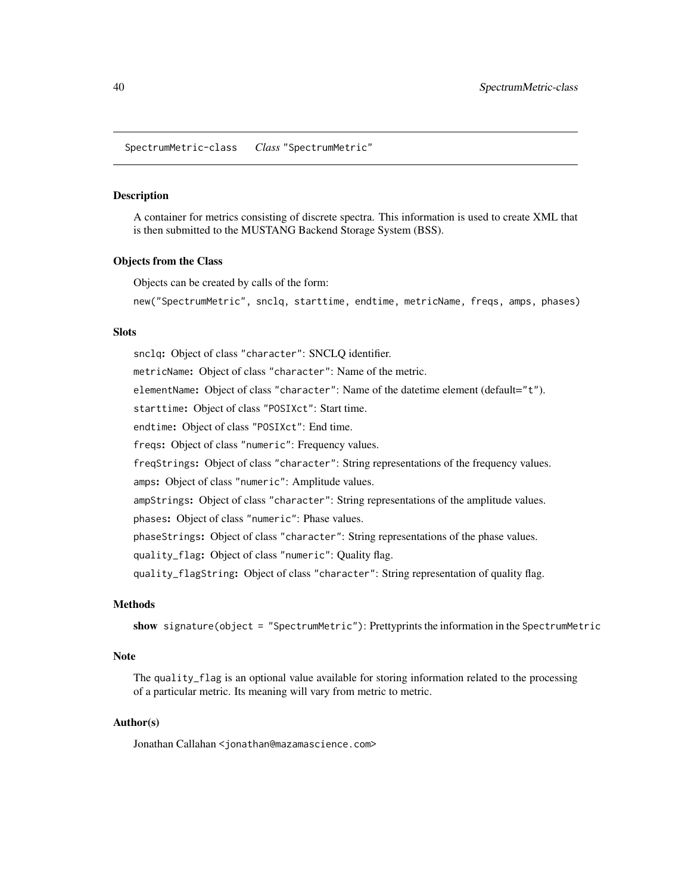<span id="page-39-0"></span>SpectrumMetric-class *Class* "SpectrumMetric"

#### <span id="page-39-1"></span>Description

A container for metrics consisting of discrete spectra. This information is used to create XML that is then submitted to the MUSTANG Backend Storage System (BSS).

#### Objects from the Class

Objects can be created by calls of the form:

new("SpectrumMetric", snclq, starttime, endtime, metricName, freqs, amps, phases)

#### Slots

snclq: Object of class "character": SNCLQ identifier. metricName: Object of class "character": Name of the metric. elementName: Object of class "character": Name of the datetime element (default="t"). starttime: Object of class "POSIXct": Start time. endtime: Object of class "POSIXct": End time. freqs: Object of class "numeric": Frequency values. freqStrings: Object of class "character": String representations of the frequency values. amps: Object of class "numeric": Amplitude values. ampStrings: Object of class "character": String representations of the amplitude values. phases: Object of class "numeric": Phase values. phaseStrings: Object of class "character": String representations of the phase values. quality\_flag: Object of class "numeric": Quality flag. quality\_flagString: Object of class "character": String representation of quality flag.

## Methods

show signature(object = "SpectrumMetric"): Prettyprints the information in the SpectrumMetric

#### **Note**

The quality\_flag is an optional value available for storing information related to the processing of a particular metric. Its meaning will vary from metric to metric.

#### Author(s)

Jonathan Callahan <jonathan@mazamascience.com>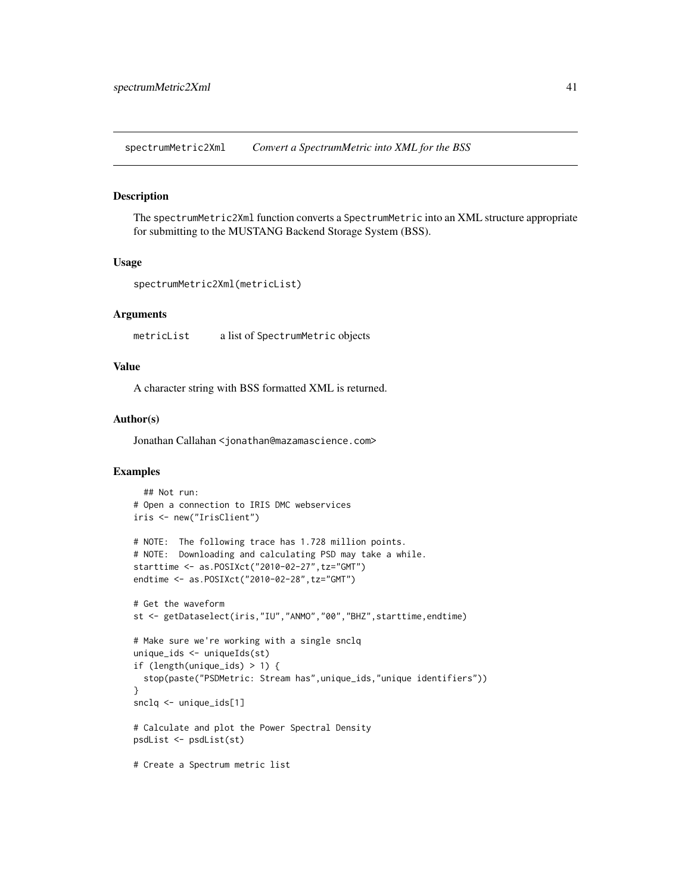<span id="page-40-0"></span>spectrumMetric2Xml *Convert a SpectrumMetric into XML for the BSS*

#### Description

The spectrumMetric2Xml function converts a SpectrumMetric into an XML structure appropriate for submitting to the MUSTANG Backend Storage System (BSS).

#### Usage

```
spectrumMetric2Xml(metricList)
```
#### Arguments

metricList a list of SpectrumMetric objects

## Value

A character string with BSS formatted XML is returned.

#### Author(s)

Jonathan Callahan <jonathan@mazamascience.com>

## Examples

```
## Not run:
# Open a connection to IRIS DMC webservices
iris <- new("IrisClient")
# NOTE: The following trace has 1.728 million points.
# NOTE: Downloading and calculating PSD may take a while.
starttime <- as.POSIXct("2010-02-27",tz="GMT")
endtime <- as.POSIXct("2010-02-28",tz="GMT")
# Get the waveform
st <- getDataselect(iris,"IU","ANMO","00","BHZ",starttime,endtime)
# Make sure we're working with a single snclq
unique_ids <- uniqueIds(st)
if (length(unique_ids) > 1) {
  stop(paste("PSDMetric: Stream has", unique_ids, "unique identifiers"))
}
snclq <- unique_ids[1]
# Calculate and plot the Power Spectral Density
psdList <- psdList(st)
# Create a Spectrum metric list
```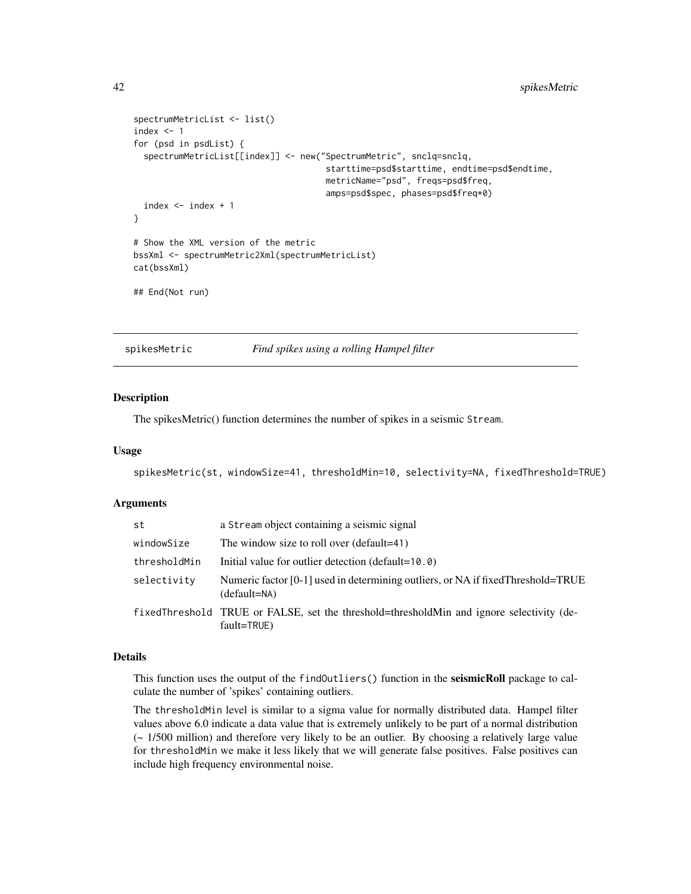```
spectrumMetricList <- list()
index <-1for (psd in psdList) {
 spectrumMetricList[[index]] <- new("SpectrumMetric", snclq=snclq,
                                      starttime=psd$starttime, endtime=psd$endtime,
                                      metricName="psd", freqs=psd$freq,
                                      amps=psd$spec, phases=psd$freq*0)
 index <- index + 1
}
# Show the XML version of the metric
bssXml <- spectrumMetric2Xml(spectrumMetricList)
cat(bssXml)
## End(Not run)
```
spikesMetric *Find spikes using a rolling Hampel filter*

## Description

The spikesMetric() function determines the number of spikes in a seismic Stream.

#### Usage

spikesMetric(st, windowSize=41, thresholdMin=10, selectivity=NA, fixedThreshold=TRUE)

## Arguments

| st           | a Stream object containing a seismic signal                                                             |
|--------------|---------------------------------------------------------------------------------------------------------|
| windowSize   | The window size to roll over (default=41)                                                               |
| thresholdMin | Initial value for outlier detection (default=10.0)                                                      |
| selectivity  | Numeric factor [0-1] used in determining outliers, or NA if fixed Threshold=TRUE<br>(default=NA)        |
|              | fixedThreshold TRUE or FALSE, set the threshold=thresholdMin and ignore selectivity (de-<br>fault=TRUE) |

#### Details

This function uses the output of the findOutliers () function in the seismicRoll package to calculate the number of 'spikes' containing outliers.

The thresholdMin level is similar to a sigma value for normally distributed data. Hampel filter values above 6.0 indicate a data value that is extremely unlikely to be part of a normal distribution (~ 1/500 million) and therefore very likely to be an outlier. By choosing a relatively large value for thresholdMin we make it less likely that we will generate false positives. False positives can include high frequency environmental noise.

<span id="page-41-0"></span>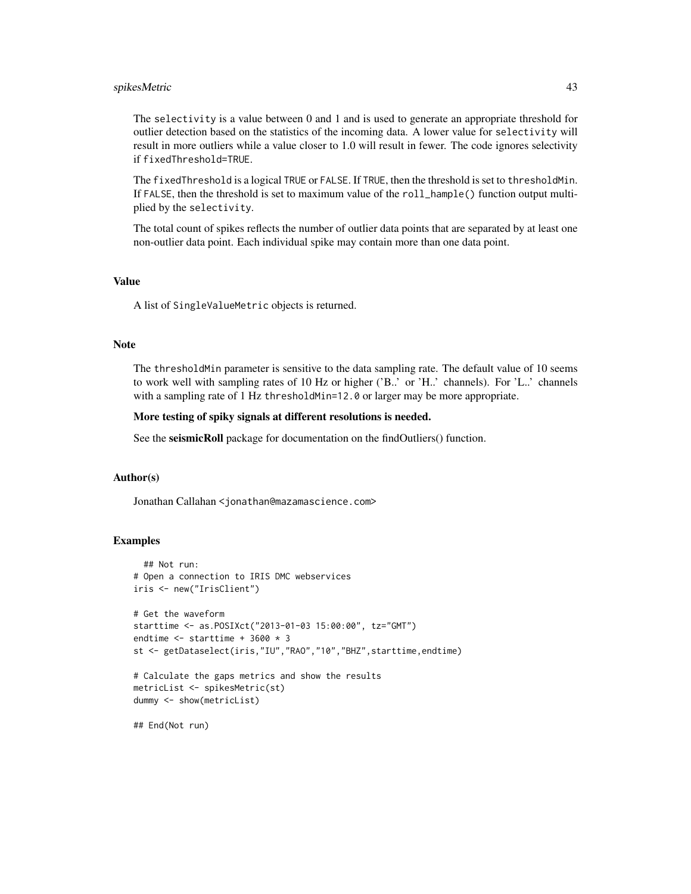## spikesMetric 43

The selectivity is a value between 0 and 1 and is used to generate an appropriate threshold for outlier detection based on the statistics of the incoming data. A lower value for selectivity will result in more outliers while a value closer to 1.0 will result in fewer. The code ignores selectivity if fixedThreshold=TRUE.

The fixedThreshold is a logical TRUE or FALSE. If TRUE, then the threshold is set to thresholdMin. If FALSE, then the threshold is set to maximum value of the roll\_hample() function output multiplied by the selectivity.

The total count of spikes reflects the number of outlier data points that are separated by at least one non-outlier data point. Each individual spike may contain more than one data point.

## Value

A list of SingleValueMetric objects is returned.

## Note

The thresholdMin parameter is sensitive to the data sampling rate. The default value of 10 seems to work well with sampling rates of 10 Hz or higher ('B..' or 'H..' channels). For 'L..' channels with a sampling rate of 1 Hz thresholdMin=12.0 or larger may be more appropriate.

#### More testing of spiky signals at different resolutions is needed.

See the seismicRoll package for documentation on the findOutliers() function.

## Author(s)

Jonathan Callahan <jonathan@mazamascience.com>

#### Examples

```
## Not run:
# Open a connection to IRIS DMC webservices
iris <- new("IrisClient")
# Get the waveform
starttime <- as.POSIXct("2013-01-03 15:00:00", tz="GMT")
endtime <- starttime + 3600 * 3
st <- getDataselect(iris,"IU","RAO","10","BHZ",starttime,endtime)
# Calculate the gaps metrics and show the results
metricList <- spikesMetric(st)
dummy <- show(metricList)
## End(Not run)
```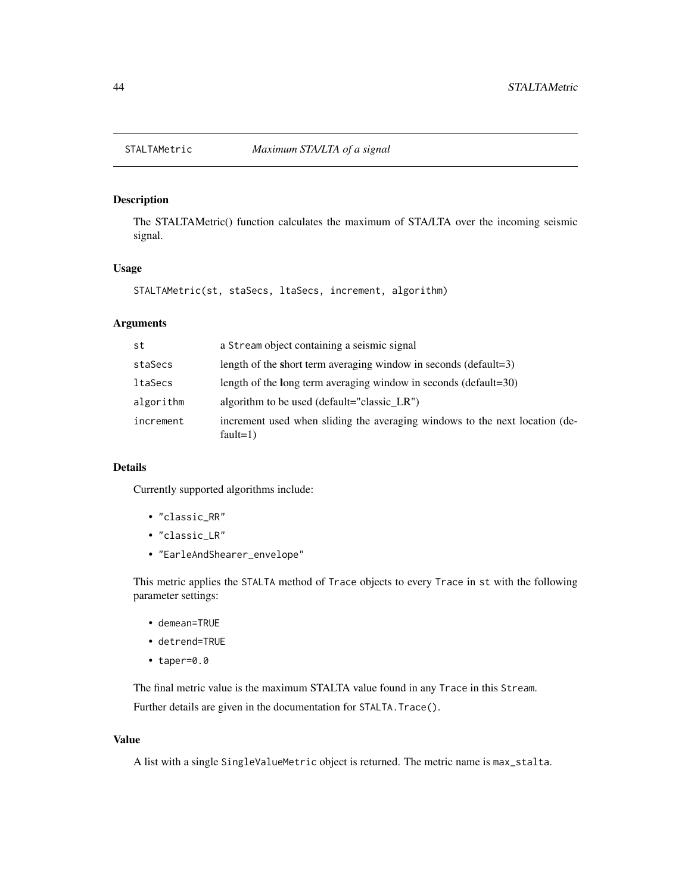## <span id="page-43-0"></span>Description

The STALTAMetric() function calculates the maximum of STA/LTA over the incoming seismic signal.

#### Usage

```
STALTAMetric(st, staSecs, ltaSecs, increment, algorithm)
```
## Arguments

| st        | a Stream object containing a seismic signal                                                |
|-----------|--------------------------------------------------------------------------------------------|
| staSecs   | length of the short term averaging window in seconds (default=3)                           |
| ltaSecs   | length of the long term averaging window in seconds (default=30)                           |
| algorithm | algorithm to be used (default="classic LR")                                                |
| increment | increment used when sliding the averaging windows to the next location (de-<br>fault= $1)$ |

#### Details

Currently supported algorithms include:

- "classic\_RR"
- "classic\_LR"
- "EarleAndShearer\_envelope"

This metric applies the STALTA method of Trace objects to every Trace in st with the following parameter settings:

- demean=TRUE
- detrend=TRUE
- taper=0.0

The final metric value is the maximum STALTA value found in any Trace in this Stream.

Further details are given in the documentation for STALTA. Trace().

## Value

A list with a single SingleValueMetric object is returned. The metric name is max\_stalta.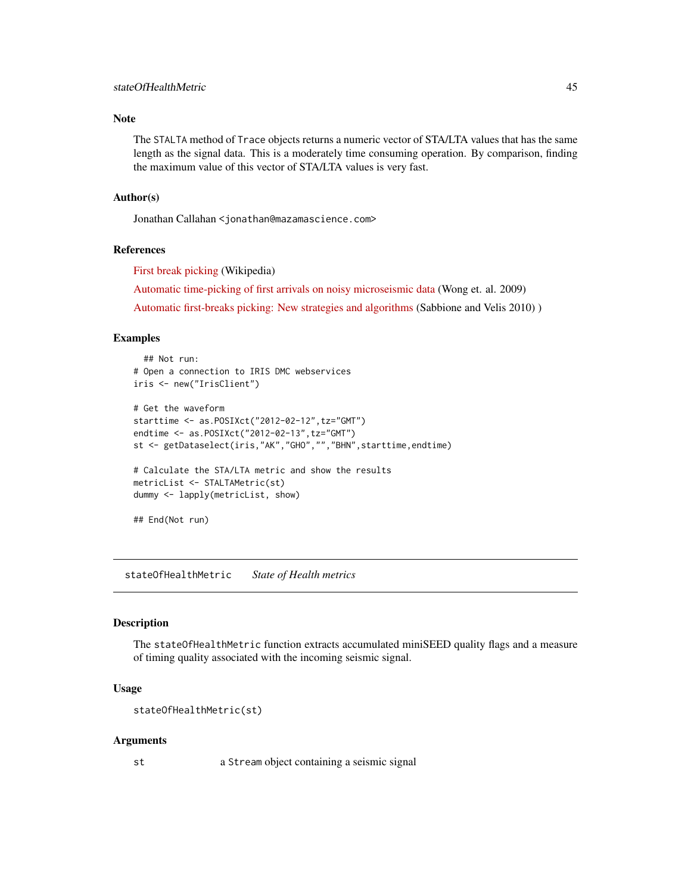#### <span id="page-44-0"></span>Note

The STALTA method of Trace objects returns a numeric vector of STA/LTA values that has the same length as the signal data. This is a moderately time consuming operation. By comparison, finding the maximum value of this vector of STA/LTA values is very fast.

## Author(s)

Jonathan Callahan <jonathan@mazamascience.com>

## References

[First break picking](http://en.wikipedia.org/wiki/First_break_picking) (Wikipedia)

[Automatic time-picking of first arrivals on noisy microseismic data](http://www.crewes.org/ForOurSponsors/ConferenceAbstracts/2009/CSEG/Wong_CSEG_2009.pdf) (Wong et. al. 2009)

[Automatic first-breaks picking: New strategies and algorithms](http://www.fcaglp.unlp.edu.ar/~velis/papers/PickingGeop10.pdf) (Sabbione and Velis 2010) )

#### Examples

```
## Not run:
# Open a connection to IRIS DMC webservices
iris <- new("IrisClient")
# Get the waveform
starttime <- as.POSIXct("2012-02-12",tz="GMT")
endtime <- as.POSIXct("2012-02-13",tz="GMT")
st <- getDataselect(iris,"AK","GHO","","BHN",starttime,endtime)
# Calculate the STA/LTA metric and show the results
metricList <- STALTAMetric(st)
dummy <- lapply(metricList, show)
## End(Not run)
```
stateOfHealthMetric *State of Health metrics*

#### Description

The stateOfHealthMetric function extracts accumulated miniSEED quality flags and a measure of timing quality associated with the incoming seismic signal.

#### Usage

```
stateOfHealthMetric(st)
```
#### Arguments

st a Stream object containing a seismic signal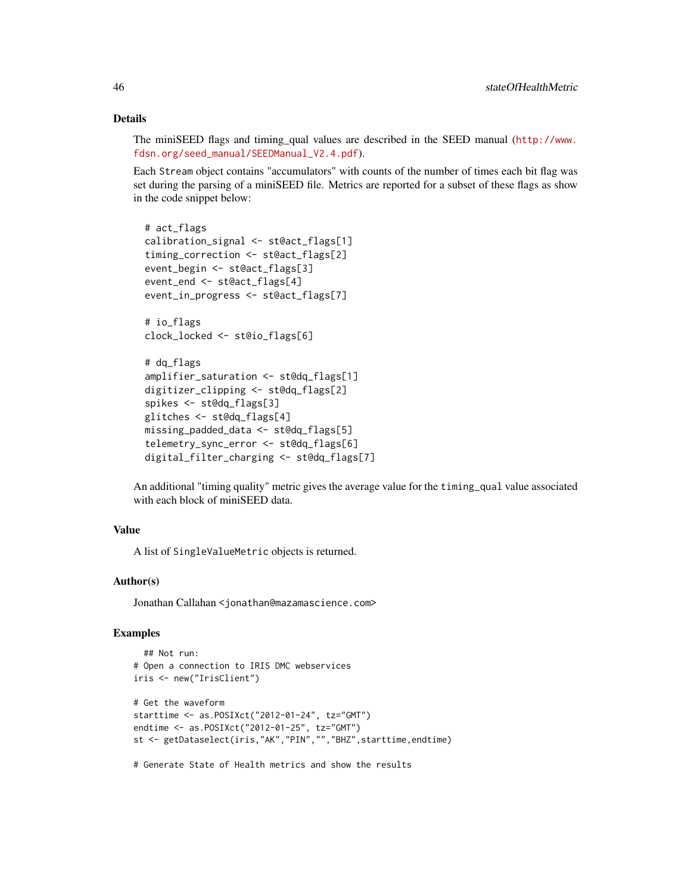## Details

The miniSEED flags and timing\_qual values are described in the SEED manual ([http://www.](http://www.fdsn.org/seed_manual/SEEDManual_V2.4.pdf) [fdsn.org/seed\\_manual/SEEDManual\\_V2.4.pdf](http://www.fdsn.org/seed_manual/SEEDManual_V2.4.pdf)).

Each Stream object contains "accumulators" with counts of the number of times each bit flag was set during the parsing of a miniSEED file. Metrics are reported for a subset of these flags as show in the code snippet below:

```
# act_flags
calibration_signal <- st@act_flags[1]
timing_correction <- st@act_flags[2]
event_begin <- st@act_flags[3]
event_end <- st@act_flags[4]
event_in_progress <- st@act_flags[7]
# io_flags
clock_locked <- st@io_flags[6]
# dq_flags
amplifier_saturation <- st@dq_flags[1]
digitizer_clipping <- st@dq_flags[2]
spikes <- st@dq_flags[3]
glitches <- st@dq_flags[4]
missing_padded_data <- st@dq_flags[5]
telemetry_sync_error <- st@dq_flags[6]
digital_filter_charging <- st@dq_flags[7]
```
An additional "timing quality" metric gives the average value for the timing\_qual value associated with each block of miniSEED data.

## Value

A list of SingleValueMetric objects is returned.

## Author(s)

Jonathan Callahan <jonathan@mazamascience.com>

#### Examples

```
## Not run:
# Open a connection to IRIS DMC webservices
iris <- new("IrisClient")
# Get the waveform
starttime <- as.POSIXct("2012-01-24", tz="GMT")
endtime <- as.POSIXct("2012-01-25", tz="GMT")
st <- getDataselect(iris,"AK","PIN","","BHZ",starttime,endtime)
# Generate State of Health metrics and show the results
```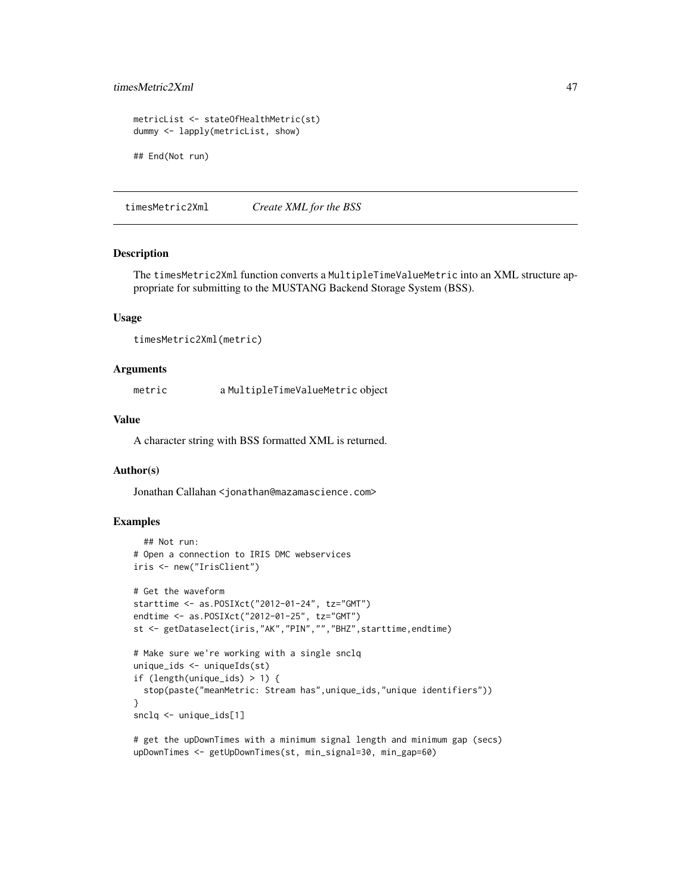## <span id="page-46-0"></span>timesMetric2Xml 47

```
metricList <- stateOfHealthMetric(st)
dummy <- lapply(metricList, show)
## End(Not run)
```
timesMetric2Xml *Create XML for the BSS*

#### Description

The timesMetric2Xml function converts a MultipleTimeValueMetric into an XML structure appropriate for submitting to the MUSTANG Backend Storage System (BSS).

#### Usage

timesMetric2Xml(metric)

#### Arguments

metric a MultipleTimeValueMetric object

#### Value

A character string with BSS formatted XML is returned.

#### Author(s)

Jonathan Callahan <jonathan@mazamascience.com>

## Examples

```
## Not run:
# Open a connection to IRIS DMC webservices
iris <- new("IrisClient")
# Get the waveform
starttime <- as.POSIXct("2012-01-24", tz="GMT")
endtime <- as.POSIXct("2012-01-25", tz="GMT")
st <- getDataselect(iris,"AK","PIN","","BHZ",starttime,endtime)
# Make sure we're working with a single snclq
unique_ids <- uniqueIds(st)
if (length(unique_ids) > 1) {
 stop(paste("meanMetric: Stream has",unique_ids,"unique identifiers"))
}
snclq <- unique_ids[1]
# get the upDownTimes with a minimum signal length and minimum gap (secs)
```

```
upDownTimes <- getUpDownTimes(st, min_signal=30, min_gap=60)
```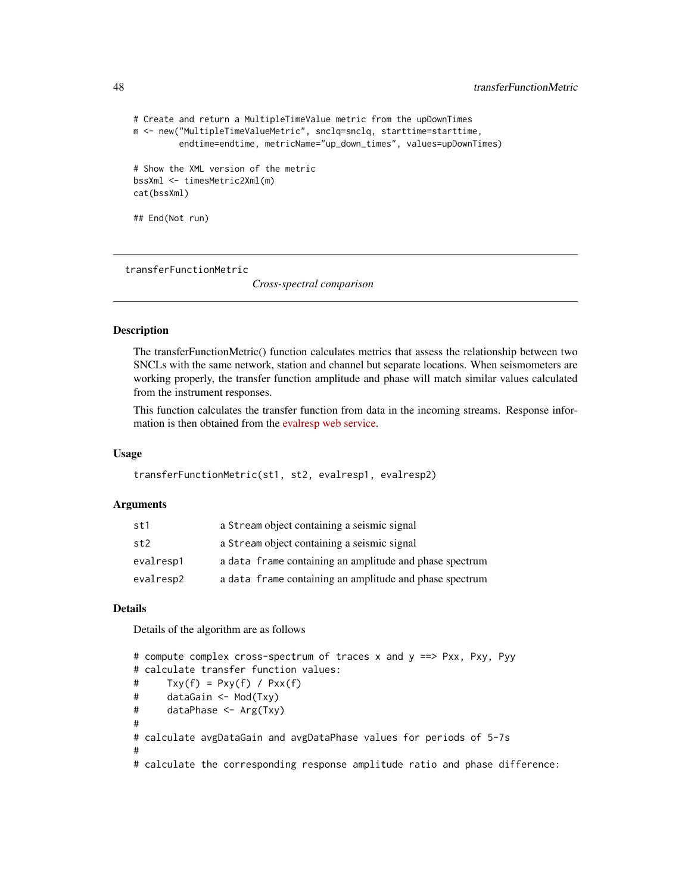```
# Create and return a MultipleTimeValue metric from the upDownTimes
m <- new("MultipleTimeValueMetric", snclq=snclq, starttime=starttime,
         endtime=endtime, metricName="up_down_times", values=upDownTimes)
# Show the XML version of the metric
bssXml <- timesMetric2Xml(m)
cat(bssXml)
## End(Not run)
```
transferFunctionMetric

*Cross-spectral comparison*

#### **Description**

The transferFunctionMetric() function calculates metrics that assess the relationship between two SNCLs with the same network, station and channel but separate locations. When seismometers are working properly, the transfer function amplitude and phase will match similar values calculated from the instrument responses.

This function calculates the transfer function from data in the incoming streams. Response information is then obtained from the [evalresp web service.](http://service.iris.edu/irisws/evalresp/1/)

#### Usage

```
transferFunctionMetric(st1, st2, evalresp1, evalresp2)
```
#### Arguments

| st1             | a Stream object containing a seismic signal             |
|-----------------|---------------------------------------------------------|
| st <sub>2</sub> | a Stream object containing a seismic signal             |
| evalresp1       | a data frame containing an amplitude and phase spectrum |
| evalresp2       | a data frame containing an amplitude and phase spectrum |

## Details

Details of the algorithm are as follows

```
# compute complex cross-spectrum of traces x and y ==> Pxx, Pxy, Pyy
# calculate transfer function values:
# Txy(f) = Pxy(f) / Pxx(f)
# dataGain <- Mod(Txy)
# dataPhase <- Arg(Txy)
#
# calculate avgDataGain and avgDataPhase values for periods of 5-7s
#
# calculate the corresponding response amplitude ratio and phase difference:
```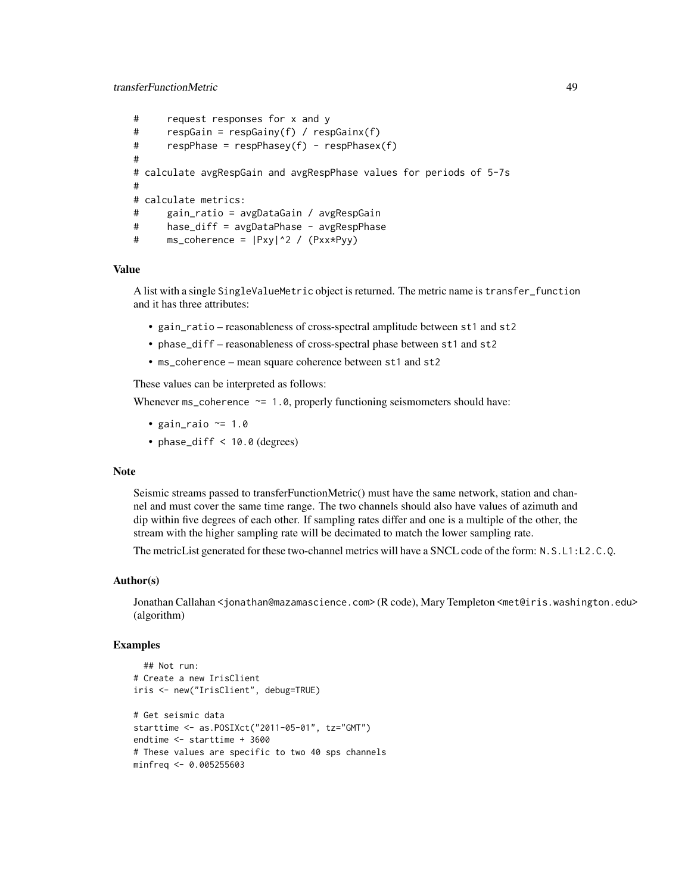```
# request responses for x and y
# respGain = respGainy(f) / respGainx(f)
# respPhase = respPhasey(f) - respPhasex(f)
#
# calculate avgRespGain and avgRespPhase values for periods of 5-7s
#
# calculate metrics:
# gain_ratio = avgDataGain / avgRespGain
# hase_diff = avgDataPhase - avgRespPhase
# ms_coherence = |Pxy|^2 / (Pxx*Pyy)
```
#### Value

A list with a single SingleValueMetric object is returned. The metric name is transfer\_function and it has three attributes:

- gain\_ratio reasonableness of cross-spectral amplitude between st1 and st2
- phase\_diff reasonableness of cross-spectral phase between st1 and st2
- ms\_coherence mean square coherence between st1 and st2

These values can be interpreted as follows:

Whenever  $ms\_coherence \approx 1.0$ , properly functioning seismometers should have:

- gain\_raio  $\approx$  1.0
- phase\_diff < 10.0 (degrees)

## **Note**

Seismic streams passed to transferFunctionMetric() must have the same network, station and channel and must cover the same time range. The two channels should also have values of azimuth and dip within five degrees of each other. If sampling rates differ and one is a multiple of the other, the stream with the higher sampling rate will be decimated to match the lower sampling rate.

The metricList generated for these two-channel metrics will have a SNCL code of the form: N.S.L1:L2.C.Q.

#### Author(s)

Jonathan Callahan <jonathan@mazamascience.com> (R code), Mary Templeton <met@iris.washington.edu> (algorithm)

#### Examples

```
## Not run:
# Create a new IrisClient
iris <- new("IrisClient", debug=TRUE)
# Get seismic data
starttime <- as.POSIXct("2011-05-01", tz="GMT")
endtime <- starttime + 3600
# These values are specific to two 40 sps channels
minfreq <- 0.005255603
```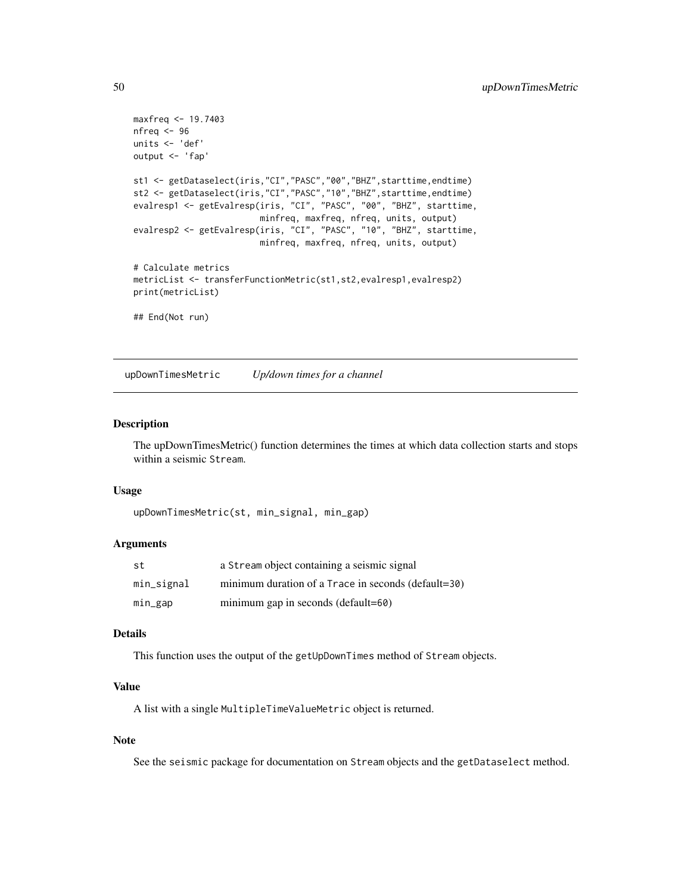```
maxfreq <- 19.7403
nfreq <- 96
units <- 'def'
output <- 'fap'
st1 <- getDataselect(iris,"CI","PASC","00","BHZ",starttime,endtime)
st2 <- getDataselect(iris,"CI","PASC","10","BHZ",starttime,endtime)
evalresp1 <- getEvalresp(iris, "CI", "PASC", "00", "BHZ", starttime,
                         minfreq, maxfreq, nfreq, units, output)
evalresp2 <- getEvalresp(iris, "CI", "PASC", "10", "BHZ", starttime,
                         minfreq, maxfreq, nfreq, units, output)
# Calculate metrics
metricList <- transferFunctionMetric(st1,st2,evalresp1,evalresp2)
print(metricList)
## End(Not run)
```
<span id="page-49-1"></span>upDownTimesMetric *Up/down times for a channel*

#### Description

The upDownTimesMetric() function determines the times at which data collection starts and stops within a seismic Stream.

#### Usage

```
upDownTimesMetric(st, min_signal, min_gap)
```
## Arguments

| st         | a Stream object containing a seismic signal         |
|------------|-----------------------------------------------------|
| min_signal | minimum duration of a Trace in seconds (default=30) |
| min_gap    | minimum gap in seconds (default=60)                 |

## Details

This function uses the output of the getUpDownTimes method of Stream objects.

#### Value

A list with a single MultipleTimeValueMetric object is returned.

## Note

See the seismic package for documentation on Stream objects and the getDataselect method.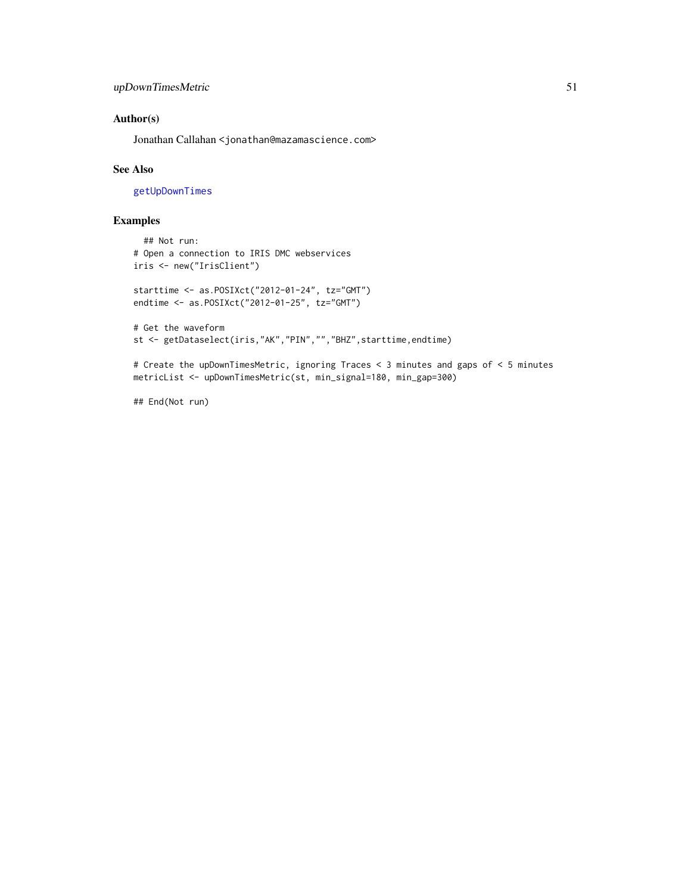## <span id="page-50-0"></span>Author(s)

Jonathan Callahan <jonathan@mazamascience.com>

#### See Also

[getUpDownTimes](#page-0-0)

## Examples

```
## Not run:
# Open a connection to IRIS DMC webservices
iris <- new("IrisClient")
starttime <- as.POSIXct("2012-01-24", tz="GMT")
endtime <- as.POSIXct("2012-01-25", tz="GMT")
# Get the waveform
st <- getDataselect(iris,"AK","PIN","","BHZ",starttime,endtime)
```
# Create the upDownTimesMetric, ignoring Traces < 3 minutes and gaps of < 5 minutes metricList <- upDownTimesMetric(st, min\_signal=180, min\_gap=300)

## End(Not run)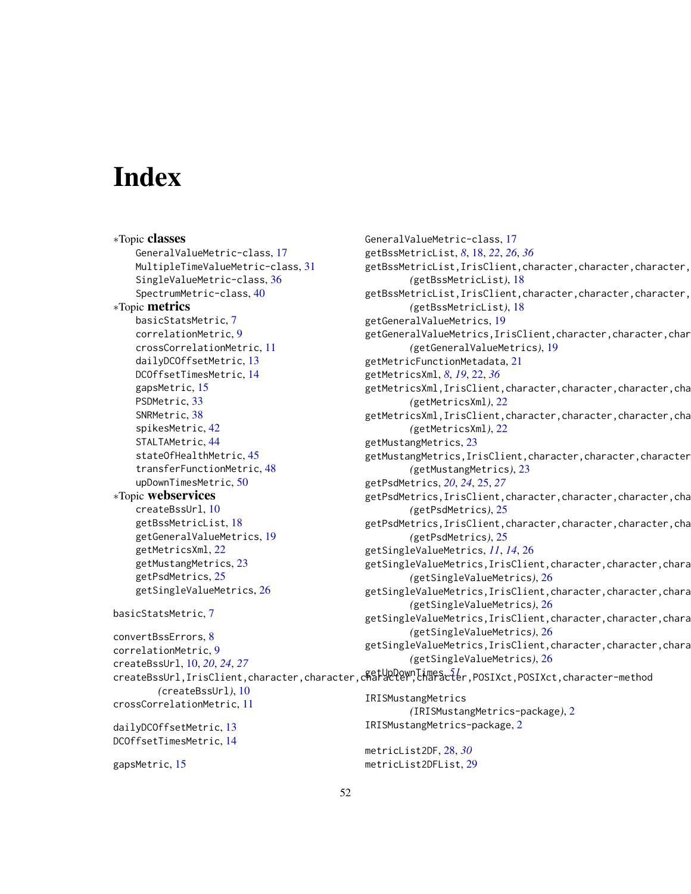# <span id="page-51-0"></span>Index

gapsMetric, [15](#page-14-0)

∗Topic classes GeneralValueMetric-class, [17](#page-16-0) MultipleTimeValueMetric-class, [31](#page-30-0) SingleValueMetric-class, [36](#page-35-0) SpectrumMetric-class, [40](#page-39-0) ∗Topic metrics basicStatsMetric, [7](#page-6-0) correlationMetric, [9](#page-8-0) crossCorrelationMetric, [11](#page-10-0) dailyDCOffsetMetric, [13](#page-12-0) DCOffsetTimesMetric, [14](#page-13-0) gapsMetric, [15](#page-14-0) PSDMetric, [33](#page-32-0) SNRMetric, [38](#page-37-0) spikesMetric, [42](#page-41-0) STALTAMetric, [44](#page-43-0) stateOfHealthMetric, [45](#page-44-0) transferFunctionMetric, [48](#page-47-0) upDownTimesMetric, [50](#page-49-0) ∗Topic webservices createBssUrl, [10](#page-9-0) getBssMetricList, [18](#page-17-0) getGeneralValueMetrics, [19](#page-18-0) getMetricsXml, [22](#page-21-0) getMustangMetrics, [23](#page-22-0) getPsdMetrics, [25](#page-24-0) getSingleValueMetrics, [26](#page-25-0) basicStatsMetric, [7](#page-6-0) convertBssErrors, [8](#page-7-0) correlationMetric, [9](#page-8-0) createBssUrl, [10,](#page-9-0) *[20](#page-19-0)*, *[24](#page-23-0)*, *[27](#page-26-0)* createBssUrl,IrisClient,character,character,character,character,POSIXct,POSIXct,character-method getUpDownTimes, *[51](#page-50-0) (*createBssUrl*)*, [10](#page-9-0) crossCorrelationMetric, [11](#page-10-0) dailyDCOffsetMetric, [13](#page-12-0) DCOffsetTimesMetric, [14](#page-13-0) GeneralValueMetric-class, [17](#page-16-0) getBssMetricList, *[8](#page-7-0)*, [18,](#page-17-0) *[22](#page-21-0)*, *[26](#page-25-0)*, *[36](#page-35-0)* getBssMetricList, IrisClient, character, character, character, *(*getBssMetricList*)*, [18](#page-17-0) getBssMetricList, IrisClient, character, character, character, *(*getBssMetricList*)*, [18](#page-17-0) getGeneralValueMetrics, [19](#page-18-0) getGeneralValueMetrics, IrisClient, character, character, char *(*getGeneralValueMetrics*)*, [19](#page-18-0) getMetricFunctionMetadata, [21](#page-20-0) getMetricsXml, *[8](#page-7-0)*, *[19](#page-18-0)*, [22,](#page-21-0) *[36](#page-35-0)* getMetricsXml, IrisClient, character, character, character, cha *(*getMetricsXml*)*, [22](#page-21-0) getMetricsXml, IrisClient, character, character, character, cha *(*getMetricsXml*)*, [22](#page-21-0) getMustangMetrics, [23](#page-22-0) getMustangMetrics, IrisClient, character, character, character *(*getMustangMetrics*)*, [23](#page-22-0) getPsdMetrics, *[20](#page-19-0)*, *[24](#page-23-0)*, [25,](#page-24-0) *[27](#page-26-0)* getPsdMetrics, IrisClient, character, character, character, cha *(*getPsdMetrics*)*, [25](#page-24-0) getPsdMetrics,IrisClient,character,character,character,cha *(*getPsdMetrics*)*, [25](#page-24-0) getSingleValueMetrics, *[11](#page-10-0)*, *[14](#page-13-0)*, [26](#page-25-0) getSingleValueMetrics, IrisClient, character, character, chara *(*getSingleValueMetrics*)*, [26](#page-25-0) getSingleValueMetrics,IrisClient,character,character,chara *(*getSingleValueMetrics*)*, [26](#page-25-0) getSingleValueMetrics,IrisClient,character,character,chara *(*getSingleValueMetrics*)*, [26](#page-25-0) getSingleValueMetrics, IrisClient, character, character, chara *(*getSingleValueMetrics*)*, [26](#page-25-0) IRISMustangMetrics *(*IRISMustangMetrics-package*)*, [2](#page-1-0) IRISMustangMetrics-package, [2](#page-1-0)

metricList2DF, [28,](#page-27-0) *[30](#page-29-0)* metricList2DFList, [29](#page-28-0)